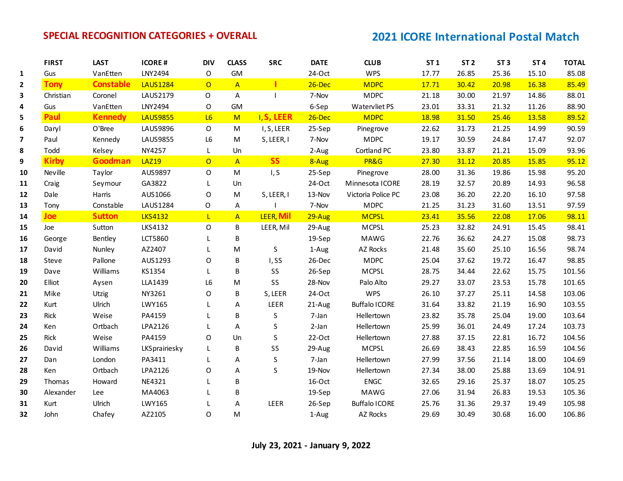|                         | <b>FIRST</b> | <b>LAST</b>      | <b>ICORE#</b>   | <b>DIV</b>     | <b>CLASS</b>   | <b>SRC</b>        | <b>DATE</b> | <b>CLUB</b>          | <b>ST1</b> | ST <sub>2</sub> | ST <sub>3</sub> | ST <sub>4</sub> | <b>TOTAL</b> |
|-------------------------|--------------|------------------|-----------------|----------------|----------------|-------------------|-------------|----------------------|------------|-----------------|-----------------|-----------------|--------------|
| $\mathbf{1}$            | Gus          | VanEtten         | LNY2494         | 0              | GM             |                   | 24-Oct      | <b>WPS</b>           | 17.77      | 26.85           | 25.36           | 15.10           | 85.08        |
| $\mathbf{2}$            | <b>Tony</b>  | <b>Constable</b> | <b>LAUS1284</b> | $\overline{O}$ | $\overline{A}$ |                   | $26$ -Dec   | <b>MDPC</b>          | 17.71      | 30.42           | 20.98           | 16.38           | 85.49        |
| 3                       | Christian    | Coronel          | LAUS2179        | 0              | A              |                   | 7-Nov       | <b>MDPC</b>          | 21.18      | 30.00           | 21.97           | 14.86           | 88.01        |
| 4                       | Gus          | VanEtten         | LNY2494         | O              | <b>GM</b>      |                   | 6-Sep       | Watervliet PS        | 23.01      | 33.31           | 21.32           | 11.26           | 88.90        |
| 5                       | Paul         | <b>Kennedy</b>   | <b>LAUS9855</b> | L6             | M              | <b>I, S, LEER</b> | 26-Dec      | <b>MDPC</b>          | 18.98      | 31.50           | 25.46           | 13.58           | 89.52        |
| 6                       | Daryl        | O'Bree           | <b>LAUS9896</b> | $\mathsf{O}$   | M              | I, S, LEER        | 25-Sep      | Pinegrove            | 22.62      | 31.73           | 21.25           | 14.99           | 90.59        |
| $\overline{\mathbf{z}}$ | Paul         | Kennedy          | <b>LAUS9855</b> | L <sub>6</sub> | M              | S, LEER, I        | 7-Nov       | <b>MDPC</b>          | 19.17      | 30.59           | 24.84           | 17.47           | 92.07        |
| 8                       | Todd         | Kelsey           | <b>NY4257</b>   | L.             | Un             |                   | 2-Aug       | Cortland PC          | 23.80      | 33.87           | 21.21           | 15.09           | 93.96        |
| 9                       | <b>Kirby</b> | Goodman          | <b>LAZ19</b>    | $\overline{O}$ | $\overline{A}$ | <b>SS</b>         | 8-Aug       | PR&G                 | 27.30      | 31.12           | 20.85           | 15.85           | 95.12        |
| 10                      | Neville      | Taylor           | AUS9897         | 0              | M              | I, S              | 25-Sep      | Pinegrove            | 28.00      | 31.36           | 19.86           | 15.98           | 95.20        |
| 11                      | Craig        | Seymour          | GA3822          | L              | Un             |                   | 24-Oct      | Minnesota ICORE      | 28.19      | 32.57           | 20.89           | 14.93           | 96.58        |
| 12                      | Dale         | Harris           | AUS1066         | O              | M              | S, LEER, I        | 13-Nov      | Victoria Police PC   | 23.08      | 36.20           | 22.20           | 16.10           | 97.58        |
| 13                      | Tony         | Constable        | LAUS1284        | O              | A              |                   | 7-Nov       | <b>MDPC</b>          | 21.25      | 31.23           | 31.60           | 13.51           | 97.59        |
| 14                      | <b>Joe</b>   | <b>Sutton</b>    | <b>LKS4132</b>  | L.             | $\overline{A}$ | LEER, Mil         | $29-Aug$    | <b>MCPSL</b>         | 23.41      | 35.56           | 22.08           | 17.06           | 98.11        |
| 15                      | Joe          | Sutton           | LKS4132         | 0              | B              | LEER, Mil         | 29-Aug      | MCPSL                | 25.23      | 32.82           | 24.91           | 15.45           | 98.41        |
| 16                      | George       | Bentley          | LCT5860         | L              | B              |                   | 19-Sep      | <b>MAWG</b>          | 22.76      | 36.62           | 24.27           | 15.08           | 98.73        |
| 17                      | David        | Nunley           | AZ2407          |                | ${\sf M}$      | $\sf S$           | 1-Aug       | AZ Rocks             | 21.48      | 35.60           | 25.10           | 16.56           | 98.74        |
| 18                      | Steve        | Pallone          | AUS1293         | 0              | B              | I,SS              | 26-Dec      | <b>MDPC</b>          | 25.04      | 37.62           | 19.72           | 16.47           | 98.85        |
| 19                      | Dave         | Williams         | KS1354          | L              | B              | SS                | 26-Sep      | <b>MCPSL</b>         | 28.75      | 34.44           | 22.62           | 15.75           | 101.56       |
| 20                      | Elliot       | Aysen            | LLA1439         | L <sub>6</sub> | ${\sf M}$      | SS                | 28-Nov      | Palo Alto            | 29.27      | 33.07           | 23.53           | 15.78           | 101.65       |
| 21                      | Mike         | Utzig            | NY3261          | 0              | B              | S, LEER           | 24-Oct      | <b>WPS</b>           | 26.10      | 37.27           | 25.11           | 14.58           | 103.06       |
| 22                      | Kurt         | Ulrich           | LWY165          |                | A              | LEER              | 21-Aug      | <b>Buffalo ICORE</b> | 31.64      | 33.82           | 21.19           | 16.90           | 103.55       |
| 23                      | Rick         | Weise            | PA4159          |                | B              | S                 | 7-Jan       | Hellertown           | 23.82      | 35.78           | 25.04           | 19.00           | 103.64       |
| 24                      | Ken          | Ortbach          | LPA2126         |                | A              | S                 | 2-Jan       | Hellertown           | 25.99      | 36.01           | 24.49           | 17.24           | 103.73       |
| 25                      | Rick         | Weise            | PA4159          | 0              | Un             | $\sf S$           | $22-Oct$    | Hellertown           | 27.88      | 37.15           | 22.81           | 16.72           | 104.56       |
| 26                      | David        | Williams         | LKSprairiesky   |                | B              | SS                | 29-Aug      | MCPSL                | 26.69      | 38.43           | 22.85           | 16.59           | 104.56       |
| 27                      | Dan          | London           | PA3411          |                | A              | $\sf S$           | 7-Jan       | Hellertown           | 27.99      | 37.56           | 21.14           | 18.00           | 104.69       |
| 28                      | Ken          | Ortbach          | LPA2126         | O              | A              | S                 | 19-Nov      | Hellertown           | 27.34      | 38.00           | 25.88           | 13.69           | 104.91       |
| 29                      | Thomas       | Howard           | NE4321          |                | B              |                   | 16-Oct      | <b>ENGC</b>          | 32.65      | 29.16           | 25.37           | 18.07           | 105.25       |
| 30                      | Alexander    | Lee              | MA4063          |                | B              |                   | 19-Sep      | MAWG                 | 27.06      | 31.94           | 26.83           | 19.53           | 105.36       |
| 31                      | Kurt         | Ulrich           | LWY165          |                | A              | LEER              | 26-Sep      | <b>Buffalo ICORE</b> | 25.76      | 31.36           | 29.37           | 19.49           | 105.98       |
| 32                      | John         | Chafey           | AZ2105          | $\Omega$       | M              |                   | 1-Aug       | AZ Rocks             | 29.69      | 30.49           | 30.68           | 16.00           | 106.86       |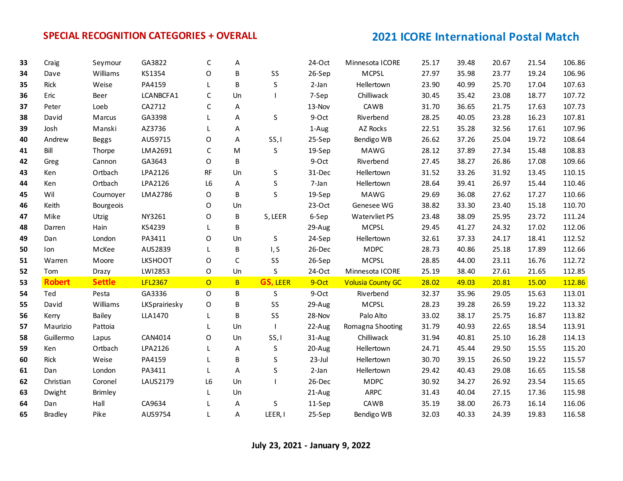| 33 | Craig          | Seymour        | GA3822         | C              | Α           |                 | $24-Oct$ | Minnesota ICORE          | 25.17 | 39.48 | 20.67 | 21.54 | 106.86 |
|----|----------------|----------------|----------------|----------------|-------------|-----------------|----------|--------------------------|-------|-------|-------|-------|--------|
| 34 | Dave           | Williams       | KS1354         | O              | B           | SS              | 26-Sep   | <b>MCPSL</b>             | 27.97 | 35.98 | 23.77 | 19.24 | 106.96 |
| 35 | Rick           | Weise          | PA4159         | L              | B           | $\sf S$         | 2-Jan    | Hellertown               | 23.90 | 40.99 | 25.70 | 17.04 | 107.63 |
| 36 | Eric           | Beer           | LCANBCFA1      | $\mathsf C$    | Un          |                 | 7-Sep    | Chilliwack               | 30.45 | 35.42 | 23.08 | 18.77 | 107.72 |
| 37 | Peter          | Loeb           | CA2712         | C              | Α           |                 | 13-Nov   | CAWB                     | 31.70 | 36.65 | 21.75 | 17.63 | 107.73 |
| 38 | David          | Marcus         | GA3398         | L              | A           | S.              | 9-Oct    | Riverbend                | 28.25 | 40.05 | 23.28 | 16.23 | 107.81 |
| 39 | Josh           | Manski         | AZ3736         |                | Α           |                 | 1-Aug    | AZ Rocks                 | 22.51 | 35.28 | 32.56 | 17.61 | 107.96 |
| 40 | Andrew         | <b>Beggs</b>   | AUS9715        | $\mathsf O$    | A           | SS, I           | 25-Sep   | Bendigo WB               | 26.62 | 37.26 | 25.04 | 19.72 | 108.64 |
| 41 | Bill           | Thorpe         | LMA2691        | C              | ${\sf M}$   | S               | 19-Sep   | MAWG                     | 28.12 | 37.89 | 27.34 | 15.48 | 108.83 |
| 42 | Greg           | Cannon         | GA3643         | O              | B           |                 | 9-Oct    | Riverbend                | 27.45 | 38.27 | 26.86 | 17.08 | 109.66 |
| 43 | Ken            | Ortbach        | LPA2126        | <b>RF</b>      | Un          | S               | 31-Dec   | Hellertown               | 31.52 | 33.26 | 31.92 | 13.45 | 110.15 |
| 44 | Ken            | Ortbach        | LPA2126        | L6             | A           | $\sf S$         | 7-Jan    | Hellertown               | 28.64 | 39.41 | 26.97 | 15.44 | 110.46 |
| 45 | Wil            | Cournoyer      | LMA2786        | O              | B           | $\mathsf{S}$    | 19-Sep   | <b>MAWG</b>              | 29.69 | 36.08 | 27.62 | 17.27 | 110.66 |
| 46 | Keith          | Bourgeois      |                | O              | Un          |                 | $23-Oct$ | Genesee WG               | 38.82 | 33.30 | 23.40 | 15.18 | 110.70 |
| 47 | Mike           | Utzig          | NY3261         | O              | B           | S, LEER         | 6-Sep    | Watervliet PS            | 23.48 | 38.09 | 25.95 | 23.72 | 111.24 |
| 48 | Darren         | Hain           | KS4239         | L.             | В           |                 | 29-Aug   | <b>MCPSL</b>             | 29.45 | 41.27 | 24.32 | 17.02 | 112.06 |
| 49 | Dan            | London         | PA3411         | O              | Un          | S.              | 24-Sep   | Hellertown               | 32.61 | 37.33 | 24.17 | 18.41 | 112.52 |
| 50 | Ion            | McKee          | AUS2839        | L              | B           | I, S            | 26-Dec   | <b>MDPC</b>              | 28.73 | 40.86 | 25.18 | 17.89 | 112.66 |
| 51 | Warren         | Moore          | <b>LKSHOOT</b> | O              | $\mathsf C$ | SS              | 26-Sep   | <b>MCPSL</b>             | 28.85 | 44.00 | 23.11 | 16.76 | 112.72 |
| 52 | Tom            | Drazy          | LW12853        | $\mathsf O$    | Un          | S               | $24-Oct$ | Minnesota ICORE          | 25.19 | 38.40 | 27.61 | 21.65 | 112.85 |
| 53 | <b>Robert</b>  | <b>Settle</b>  | <b>LFL2367</b> | $\overline{O}$ | B.          | <b>GS, LEER</b> | 9-Oct    | <b>Volusia County GC</b> | 28.02 | 49.03 | 20.81 | 15.00 | 112.86 |
| 54 | Ted            | Pesta          | GA3336         | $\Omega$       | B           | S               | 9-Oct    | Riverbend                | 32.37 | 35.96 | 29.05 | 15.63 | 113.01 |
| 55 | David          | Williams       | LKSprairiesky  | 0              | В           | SS              | 29-Aug   | <b>MCPSL</b>             | 28.23 | 39.28 | 26.59 | 19.22 | 113.32 |
| 56 | Kerry          | Bailey         | LLA1470        | L.             | B           | SS              | 28-Nov   | Palo Alto                | 33.02 | 38.17 | 25.75 | 16.87 | 113.82 |
| 57 | Maurizio       | Pattoia        |                |                | Un          |                 | 22-Aug   | Romagna Shooting         | 31.79 | 40.93 | 22.65 | 18.54 | 113.91 |
| 58 | Guillermo      | Lapus          | CAN4014        | O              | Un          | SS, I           | 31-Aug   | Chilliwack               | 31.94 | 40.81 | 25.10 | 16.28 | 114.13 |
| 59 | Ken            | Ortbach        | LPA2126        | L              | A           | S               | 20-Aug   | Hellertown               | 24.71 | 45.44 | 29.50 | 15.55 | 115.20 |
| 60 | Rick           | Weise          | PA4159         |                | B           | S               | 23-Jul   | Hellertown               | 30.70 | 39.15 | 26.50 | 19.22 | 115.57 |
| 61 | Dan            | London         | PA3411         | L.             | A           | S               | 2-Jan    | Hellertown               | 29.42 | 40.43 | 29.08 | 16.65 | 115.58 |
| 62 | Christian      | Coronel        | LAUS2179       | L6             | Un          |                 | 26-Dec   | <b>MDPC</b>              | 30.92 | 34.27 | 26.92 | 23.54 | 115.65 |
| 63 | Dwight         | <b>Brimley</b> |                | L              | Un          |                 | 21-Aug   | ARPC                     | 31.43 | 40.04 | 27.15 | 17.36 | 115.98 |
| 64 | Dan            | Hall           | CA9634         |                | Α           | $\sf S$         | 11-Sep   | CAWB                     | 35.19 | 38.00 | 26.73 | 16.14 | 116.06 |
| 65 | <b>Bradley</b> | Pike           | AUS9754        | L              | A           | LEER, I         | 25-Sep   | Bendigo WB               | 32.03 | 40.33 | 24.39 | 19.83 | 116.58 |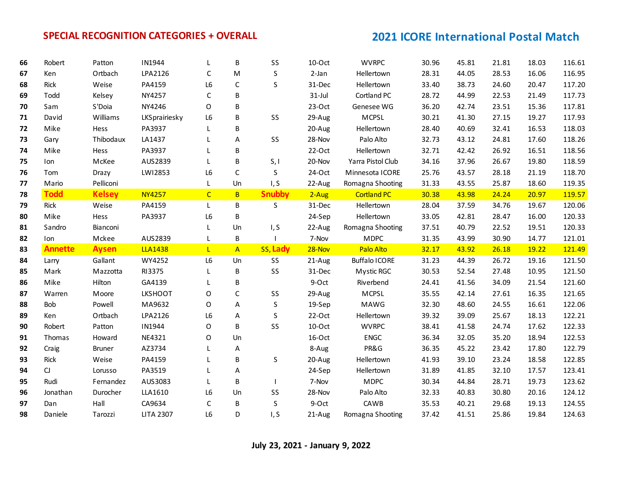| 66 | Robert         | Patton        | IN1944         | L              | B              | SS            | 10-Oct    | <b>WVRPC</b>         | 30.96 | 45.81 | 21.81 | 18.03 | 116.61 |
|----|----------------|---------------|----------------|----------------|----------------|---------------|-----------|----------------------|-------|-------|-------|-------|--------|
| 67 | Ken            | Ortbach       | LPA2126        | C              | M              | $\sf S$       | 2-Jan     | Hellertown           | 28.31 | 44.05 | 28.53 | 16.06 | 116.95 |
| 68 | Rick           | Weise         | PA4159         | L6             | $\mathsf C$    | S             | 31-Dec    | Hellertown           | 33.40 | 38.73 | 24.60 | 20.47 | 117.20 |
| 69 | Todd           | Kelsey        | NY4257         | C              | B              |               | $31$ -Jul | Cortland PC          | 28.72 | 44.99 | 22.53 | 21.49 | 117.73 |
| 70 | Sam            | S'Doia        | NY4246         | O              | B              |               | $23-Oct$  | Genesee WG           | 36.20 | 42.74 | 23.51 | 15.36 | 117.81 |
| 71 | David          | Williams      | LKSprairiesky  | L <sub>6</sub> | B              | SS            | 29-Aug    | <b>MCPSL</b>         | 30.21 | 41.30 | 27.15 | 19.27 | 117.93 |
| 72 | Mike           | Hess          | PA3937         | L              | B              |               | 20-Aug    | Hellertown           | 28.40 | 40.69 | 32.41 | 16.53 | 118.03 |
| 73 | Gary           | Thibodaux     | LA1437         | L              | A              | SS            | 28-Nov    | Palo Alto            | 32.73 | 43.12 | 24.81 | 17.60 | 118.26 |
| 74 | Mike           | Hess          | PA3937         | L              | B              |               | $22-Oct$  | Hellertown           | 32.71 | 42.42 | 26.92 | 16.51 | 118.56 |
| 75 | Ion            | McKee         | AUS2839        | L.             | B              | S, I          | 20-Nov    | Yarra Pistol Club    | 34.16 | 37.96 | 26.67 | 19.80 | 118.59 |
| 76 | Tom            | Drazy         | LW12853        | L6             | $\mathsf C$    | S             | 24-Oct    | Minnesota ICORE      | 25.76 | 43.57 | 28.18 | 21.19 | 118.70 |
| 77 | Mario          | Pelliconi     |                | L              | Un             | I, S          | 22-Aug    | Romagna Shooting     | 31.33 | 43.55 | 25.87 | 18.60 | 119.35 |
| 78 | <b>Todd</b>    | <b>Kelsey</b> | <b>NY4257</b>  | $\overline{C}$ | B              | <b>Snubby</b> | $2-Aug$   | <b>Cortland PC</b>   | 30.38 | 43.98 | 24.24 | 20.97 | 119.57 |
| 79 | Rick           | Weise         | PA4159         | L.             | B              | S             | 31-Dec    | Hellertown           | 28.04 | 37.59 | 34.76 | 19.67 | 120.06 |
| 80 | Mike           | Hess          | PA3937         | L6             | B              |               | 24-Sep    | Hellertown           | 33.05 | 42.81 | 28.47 | 16.00 | 120.33 |
| 81 | Sandro         | Bianconi      |                | L              | Un             | I, S          | 22-Aug    | Romagna Shooting     | 37.51 | 40.79 | 22.52 | 19.51 | 120.33 |
| 82 | Ion            | Mckee         | AUS2839        | L              | B              |               | 7-Nov     | <b>MDPC</b>          | 31.35 | 43.99 | 30.90 | 14.77 | 121.01 |
| 83 | <b>Annette</b> | <b>Aysen</b>  | <b>LLA1438</b> | $\mathsf{L}$   | $\overline{A}$ | ss, Lady      | 28-Nov    | Palo Alto            | 32.17 | 43.92 | 26.18 | 19.22 | 121.49 |
| 84 | Larry          | Gallant       | WY4252         | L <sub>6</sub> | Un             | SS            | 21-Aug    | <b>Buffalo ICORE</b> | 31.23 | 44.39 | 26.72 | 19.16 | 121.50 |
| 85 | Mark           | Mazzotta      | RI3375         | L              | B              | SS            | 31-Dec    | Mystic RGC           | 30.53 | 52.54 | 27.48 | 10.95 | 121.50 |
| 86 | Mike           | Hilton        | GA4139         | L              | B              |               | 9-Oct     | Riverbend            | 24.41 | 41.56 | 34.09 | 21.54 | 121.60 |
| 87 | Warren         | Moore         | <b>LKSHOOT</b> | O              | $\mathsf C$    | SS            | 29-Aug    | MCPSL                | 35.55 | 42.14 | 27.61 | 16.35 | 121.65 |
| 88 | Bob            | Powell        | MA9632         | O              | A              | $\sf S$       | 19-Sep    | <b>MAWG</b>          | 32.30 | 48.60 | 24.55 | 16.61 | 122.06 |
| 89 | Ken            | Ortbach       | LPA2126        | L <sub>6</sub> | Α              | S             | $22-Oct$  | Hellertown           | 39.32 | 39.09 | 25.67 | 18.13 | 122.21 |
| 90 | Robert         | Patton        | IN1944         | O              | B              | SS            | $10$ -Oct | <b>WVRPC</b>         | 38.41 | 41.58 | 24.74 | 17.62 | 122.33 |
| 91 | Thomas         | Howard        | NE4321         | O              | Un             |               | 16-Oct    | <b>ENGC</b>          | 36.34 | 32.05 | 35.20 | 18.94 | 122.53 |
| 92 | Craig          | Bruner        | AZ3734         | L              | Α              |               | 8-Aug     | PR&G                 | 36.35 | 45.22 | 23.42 | 17.80 | 122.79 |
| 93 | Rick           | Weise         | PA4159         | L              | B              | S             | 20-Aug    | Hellertown           | 41.93 | 39.10 | 23.24 | 18.58 | 122.85 |
| 94 |                |               |                |                |                |               | 24-Sep    | Hellertown           | 31.89 | 41.85 | 32.10 | 17.57 | 123.41 |
|    | $\mathsf C$    | Lorusso       | PA3519         | L              | Α              |               |           |                      |       |       |       |       |        |
| 95 | Rudi           | Fernandez     | AUS3083        | L              | B              |               | 7-Nov     | <b>MDPC</b>          | 30.34 | 44.84 | 28.71 | 19.73 | 123.62 |
| 96 | Jonathan       | Durocher      | LLA1610        | L6             | Un             | SS            | 28-Nov    | Palo Alto            | 32.33 | 40.83 | 30.80 | 20.16 | 124.12 |
| 97 | Dan            | Hall          | CA9634         | $\mathsf C$    | B              | $\sf S$       | 9-Oct     | CAWB                 | 35.53 | 40.21 | 29.68 | 19.13 | 124.55 |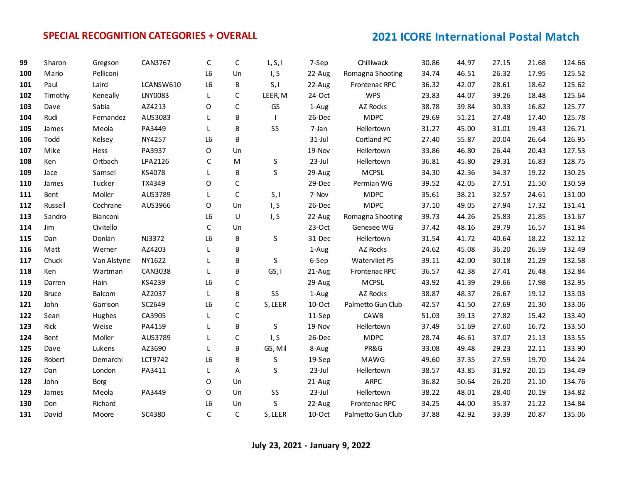| 99  | Sharon       | Gregson     | CAN3767   | C              | C            | L, S, I | 7-Sep     | Chilliwack        | 30.86 | 44.97 | 27.15 | 21.68 | 124.66 |
|-----|--------------|-------------|-----------|----------------|--------------|---------|-----------|-------------------|-------|-------|-------|-------|--------|
| 100 | Mario        | Pelliconi   |           | L <sub>6</sub> | Un           | I, S    | 22-Aug    | Romagna Shooting  | 34.74 | 46.51 | 26.32 | 17.95 | 125.52 |
| 101 | Paul         | Laird       | LCANSW610 | L6             | B            | S, I    | 22-Aug    | Frontenac RPC     | 36.32 | 42.07 | 28.61 | 18.62 | 125.62 |
| 102 | Timothy      | Keneally    | LNY0083   | L              | $\mathsf C$  | LEER, M | 24-Oct    | <b>WPS</b>        | 23.83 | 44.07 | 39.26 | 18.48 | 125.64 |
| 103 | Dave         | Sabia       | AZ4213    | O              | $\mathsf{C}$ | GS      | 1-Aug     | AZ Rocks          | 38.78 | 39.84 | 30.33 | 16.82 | 125.77 |
| 104 | Rudi         | Fernandez   | AUS3083   | L              | B            |         | 26-Dec    | <b>MDPC</b>       | 29.69 | 51.21 | 27.48 | 17.40 | 125.78 |
| 105 | James        | Meola       | PA3449    | L              | B            | SS      | 7-Jan     | Hellertown        | 31.27 | 45.00 | 31.01 | 19.43 | 126.71 |
| 106 | Todd         | Kelsey      | NY4257    | L6             | B            |         | $31$ -Jul | Cortland PC       | 27.40 | 55.87 | 20.04 | 26.64 | 126.95 |
| 107 | Mike         | Hess        | PA3937    | O              | Un           |         | 19-Nov    | Hellertown        | 33.86 | 46.80 | 26.44 | 20.43 | 127.53 |
| 108 | Ken          | Ortbach     | LPA2126   | C              | M            | S       | 23-Jul    | Hellertown        | 36.81 | 45.80 | 29.31 | 16.83 | 128.75 |
| 109 | Jace         | Samsel      | KS4078    | L              | B            | S       | 29-Aug    | <b>MCPSL</b>      | 34.30 | 42.36 | 34.37 | 19.22 | 130.25 |
| 110 | James        | Tucker      | TX4349    | O              | $\mathsf C$  |         | 29-Dec    | Permian WG        | 39.52 | 42.05 | 27.51 | 21.50 | 130.59 |
| 111 | Bent         | Moller      | AUS3789   | L              | $\mathsf C$  | S, I    | 7-Nov     | <b>MDPC</b>       | 35.61 | 38.21 | 32.57 | 24.61 | 131.00 |
| 112 | Russell      | Cochrane    | AUS3966   | O              | Un           | I, S    | 26-Dec    | <b>MDPC</b>       | 37.10 | 49.05 | 27.94 | 17.32 | 131.41 |
| 113 | Sandro       | Bianconi    |           | L6             | U            | I, S    | 22-Aug    | Romagna Shooting  | 39.73 | 44.26 | 25.83 | 21.85 | 131.67 |
| 114 | Jim          | Civitello   |           | C              | Un           |         | $23-Oct$  | Genesee WG        | 37.42 | 48.16 | 29.79 | 16.57 | 131.94 |
| 115 | Dan          | Donlan      | NJ3372    | L6             | B            | S       | 31-Dec    | Hellertown        | 31.54 | 41.72 | 40.64 | 18.22 | 132.12 |
| 116 | Matt         | Werner      | AZ4203    |                | B            |         | 1-Aug     | AZ Rocks          | 24.62 | 45.08 | 36.20 | 26.59 | 132.49 |
| 117 | Chuck        | Van Alstyne | NY1622    |                | B            | S       | 6-Sep     | Watervliet PS     | 39.11 | 42.00 | 30.18 | 21.29 | 132.58 |
| 118 | Ken          | Wartman     | CAN3038   | L              | В            | GS, I   | 21-Aug    | Frontenac RPC     | 36.57 | 42.38 | 27.41 | 26.48 | 132.84 |
| 119 | Darren       | Hain        | KS4239    | L6             | $\mathsf C$  |         | 29-Aug    | <b>MCPSL</b>      | 43.92 | 41.39 | 29.66 | 17.98 | 132.95 |
| 120 | <b>Bruce</b> | Balcom      | AZ2037    | L              | B            | SS      | 1-Aug     | AZ Rocks          | 38.87 | 48.37 | 26.67 | 19.12 | 133.03 |
| 121 | John         | Garrison    | SC2649    | L <sub>6</sub> | C            | S, LEER | $10-Oct$  | Palmetto Gun Club | 42.57 | 41.50 | 27.69 | 21.30 | 133.06 |
| 122 | Sean         | Hughes      | CA3905    | L              | C            |         | 11-Sep    | CAWB              | 51.03 | 39.13 | 27.82 | 15.42 | 133.40 |
| 123 | Rick         | Weise       | PA4159    | L              | B            | $\sf S$ | 19-Nov    | Hellertown        | 37.49 | 51.69 | 27.60 | 16.72 | 133.50 |
| 124 | Bent         | Moller      | AUS3789   |                | $\mathsf C$  | I, S    | 26-Dec    | <b>MDPC</b>       | 28.74 | 46.61 | 37.07 | 21.13 | 133.55 |
| 125 | Dave         | Lukens      | AZ3690    |                | B            | GS, Mil | 8-Aug     | PR&G              | 33.08 | 49.48 | 29.23 | 22.11 | 133.90 |
| 126 | Robert       | Demarchi    | LCT9742   | L <sub>6</sub> | B            | S       | 19-Sep    | MAWG              | 49.60 | 37.35 | 27.59 | 19.70 | 134.24 |
| 127 | Dan          | London      | PA3411    | L              | Α            | S       | 23-Jul    | Hellertown        | 38.57 | 43.85 | 31.92 | 20.15 | 134.49 |
| 128 | John         | Borg        |           | 0              | Un           |         | 21-Aug    | <b>ARPC</b>       | 36.82 | 50.64 | 26.20 | 21.10 | 134.76 |
| 129 | James        | Meola       | PA3449    | O              | Un           | SS      | 23-Jul    | Hellertown        | 38.22 | 48.01 | 28.40 | 20.19 | 134.82 |
| 130 | Don          | Richard     |           | L6             | Un           | S       | 22-Aug    | Frontenac RPC     | 34.25 | 44.00 | 35.37 | 21.22 | 134.84 |
| 131 | David        | Moore       | SC4380    | $\mathsf{C}$   | $\mathsf{C}$ | S, LEER | $10$ -Oct | Palmetto Gun Club | 37.88 | 42.92 | 33.39 | 20.87 | 135.06 |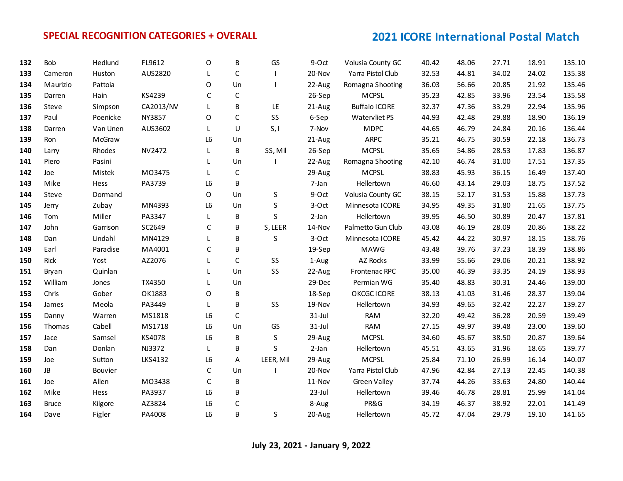| 132 | Bob          | Hedlund  | FL9612    | O              | В            | GS        | 9-Oct     | Volusia County GC    | 40.42 | 48.06 | 27.71 | 18.91 | 135.10 |
|-----|--------------|----------|-----------|----------------|--------------|-----------|-----------|----------------------|-------|-------|-------|-------|--------|
| 133 | Cameron      | Huston   | AUS2820   | L              | $\mathsf C$  |           | 20-Nov    | Yarra Pistol Club    | 32.53 | 44.81 | 34.02 | 24.02 | 135.38 |
| 134 | Maurizio     | Pattoia  |           | O              | Un           |           | 22-Aug    | Romagna Shooting     | 36.03 | 56.66 | 20.85 | 21.92 | 135.46 |
| 135 | Darren       | Hain     | KS4239    | $\mathsf{C}$   | $\mathsf C$  |           | 26-Sep    | <b>MCPSL</b>         | 35.23 | 42.85 | 33.96 | 23.54 | 135.58 |
| 136 | Steve        | Simpson  | CA2013/NV | L              | B            | LE        | 21-Aug    | <b>Buffalo ICORE</b> | 32.37 | 47.36 | 33.29 | 22.94 | 135.96 |
| 137 | Paul         | Poenicke | NY3857    | O              | $\mathsf{C}$ | SS        | 6-Sep     | Watervliet PS        | 44.93 | 42.48 | 29.88 | 18.90 | 136.19 |
| 138 | Darren       | Van Unen | AUS3602   | L              | U            | S, I      | 7-Nov     | <b>MDPC</b>          | 44.65 | 46.79 | 24.84 | 20.16 | 136.44 |
| 139 | Ron          | McGraw   |           | L6             | Un           |           | 21-Aug    | <b>ARPC</b>          | 35.21 | 46.75 | 30.59 | 22.18 | 136.73 |
| 140 | Larry        | Rhodes   | NV2472    | L.             | В            | SS, Mil   | 26-Sep    | MCPSL                | 35.65 | 54.86 | 28.53 | 17.83 | 136.87 |
| 141 | Piero        | Pasini   |           |                | Un           |           | 22-Aug    | Romagna Shooting     | 42.10 | 46.74 | 31.00 | 17.51 | 137.35 |
| 142 | Joe          | Mistek   | MO3475    | L              | $\mathsf C$  |           | 29-Aug    | <b>MCPSL</b>         | 38.83 | 45.93 | 36.15 | 16.49 | 137.40 |
| 143 | Mike         | Hess     | PA3739    | L6             | B            |           | 7-Jan     | Hellertown           | 46.60 | 43.14 | 29.03 | 18.75 | 137.52 |
| 144 | Steve        | Dormand  |           | O              | Un           | S         | 9-Oct     | Volusia County GC    | 38.15 | 52.17 | 31.53 | 15.88 | 137.73 |
| 145 | Jerry        | Zubay    | MN4393    | L6             | Un           | S         | 3-Oct     | Minnesota ICORE      | 34.95 | 49.35 | 31.80 | 21.65 | 137.75 |
| 146 | Tom          | Miller   | PA3347    | L              | В            | $\sf S$   | 2-Jan     | Hellertown           | 39.95 | 46.50 | 30.89 | 20.47 | 137.81 |
| 147 | John         | Garrison | SC2649    | C              | B            | S, LEER   | 14-Nov    | Palmetto Gun Club    | 43.08 | 46.19 | 28.09 | 20.86 | 138.22 |
| 148 | Dan          | Lindahl  | MN4129    |                | B            | S         | 3-Oct     | Minnesota ICORE      | 45.42 | 44.22 | 30.97 | 18.15 | 138.76 |
| 149 | Earl         | Paradise | MA4001    | C              | B            |           | 19-Sep    | <b>MAWG</b>          | 43.48 | 39.76 | 37.23 | 18.39 | 138.86 |
| 150 | Rick         | Yost     | AZ2076    |                | $\mathsf C$  | SS        | 1-Aug     | AZ Rocks             | 33.99 | 55.66 | 29.06 | 20.21 | 138.92 |
| 151 | Bryan        | Quinlan  |           | L              | Un           | SS        | 22-Aug    | Frontenac RPC        | 35.00 | 46.39 | 33.35 | 24.19 | 138.93 |
| 152 | William      | Jones    | TX4350    |                | Un           |           | 29-Dec    | Permian WG           | 35.40 | 48.83 | 30.31 | 24.46 | 139.00 |
| 153 | Chris        | Gober    | OK1883    | O              | В            |           | 18-Sep    | OKCGC ICORE          | 38.13 | 41.03 | 31.46 | 28.37 | 139.04 |
| 154 | James        | Meola    | PA3449    | L              | B            | SS        | 19-Nov    | Hellertown           | 34.93 | 49.65 | 32.42 | 22.27 | 139.27 |
| 155 | Danny        | Warren   | MS1818    | L6             | C            |           | $31$ -Jul | <b>RAM</b>           | 32.20 | 49.42 | 36.28 | 20.59 | 139.49 |
| 156 | Thomas       | Cabell   | MS1718    | L6             | Un           | GS        | $31$ -Jul | <b>RAM</b>           | 27.15 | 49.97 | 39.48 | 23.00 | 139.60 |
| 157 | Jace         | Samsel   | KS4078    | L6             | B            | $\sf S$   | 29-Aug    | <b>MCPSL</b>         | 34.60 | 45.67 | 38.50 | 20.87 | 139.64 |
| 158 | Dan          | Donlan   | NJ3372    | L              | B            | S         | 2-Jan     | Hellertown           | 45.51 | 43.65 | 31.96 | 18.65 | 139.77 |
| 159 | Joe          | Sutton   | LKS4132   | L6             | Α            | LEER, Mil | 29-Aug    | <b>MCPSL</b>         | 25.84 | 71.10 | 26.99 | 16.14 | 140.07 |
| 160 | JB           | Bouvier  |           | C              | Un           |           | 20-Nov    | Yarra Pistol Club    | 47.96 | 42.84 | 27.13 | 22.45 | 140.38 |
| 161 | Joe          | Allen    | MO3438    | $\mathsf C$    | B            |           | 11-Nov    | <b>Green Valley</b>  | 37.74 | 44.26 | 33.63 | 24.80 | 140.44 |
| 162 | Mike         | Hess     | PA3937    | L6             | B            |           | $23$ -Jul | Hellertown           | 39.46 | 46.78 | 28.81 | 25.99 | 141.04 |
| 163 | <b>Bruce</b> | Kilgore  | AZ3824    | L6             | $\mathsf C$  |           | 8-Aug     | PR&G                 | 34.19 | 46.37 | 38.92 | 22.01 | 141.49 |
| 164 | Dave         | Figler   | PA4008    | L <sub>6</sub> | B            | S         | 20-Aug    | Hellertown           | 45.72 | 47.04 | 29.79 | 19.10 | 141.65 |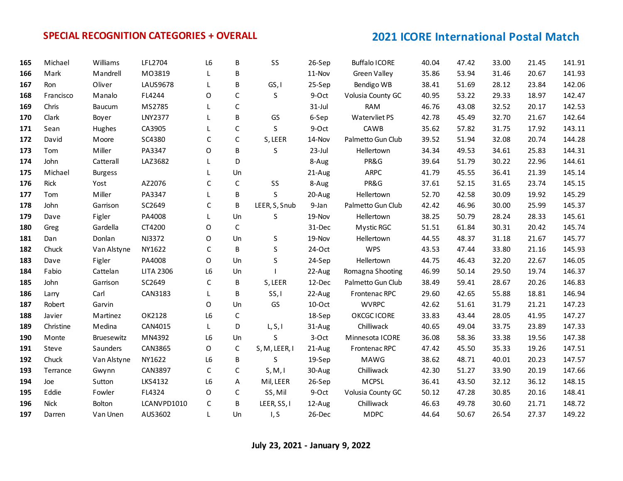| 165 | Michael     | Williams       | LFL2704          | L <sub>6</sub> | B            | SS            | 26-Sep    | <b>Buffalo ICORE</b> | 40.04 | 47.42 | 33.00 | 21.45 | 141.91 |
|-----|-------------|----------------|------------------|----------------|--------------|---------------|-----------|----------------------|-------|-------|-------|-------|--------|
| 166 | Mark        | Mandrell       | MO3819           | L              | B            |               | 11-Nov    | <b>Green Valley</b>  | 35.86 | 53.94 | 31.46 | 20.67 | 141.93 |
| 167 | Ron         | Oliver         | LAUS9678         | L              | B            | GS, I         | 25-Sep    | Bendigo WB           | 38.41 | 51.69 | 28.12 | 23.84 | 142.06 |
| 168 | Francisco   | Manalo         | FL4244           | $\Omega$       | $\mathsf{C}$ | S             | 9-Oct     | Volusia County GC    | 40.95 | 53.22 | 29.33 | 18.97 | 142.47 |
| 169 | Chris       | Baucum         | MS2785           | L              | $\mathsf C$  |               | $31$ -Jul | <b>RAM</b>           | 46.76 | 43.08 | 32.52 | 20.17 | 142.53 |
| 170 | Clark       | Boyer          | <b>LNY2377</b>   | L              | B            | GS            | 6-Sep     | Watervliet PS        | 42.78 | 45.49 | 32.70 | 21.67 | 142.64 |
| 171 | Sean        | Hughes         | CA3905           |                | $\mathsf C$  | S             | 9-Oct     | CAWB                 | 35.62 | 57.82 | 31.75 | 17.92 | 143.11 |
| 172 | David       | Moore          | SC4380           | C              | $\mathsf C$  | S, LEER       | 14-Nov    | Palmetto Gun Club    | 39.52 | 51.94 | 32.08 | 20.74 | 144.28 |
| 173 | Tom         | Miller         | PA3347           | O              | B            | S             | $23$ -Jul | Hellertown           | 34.34 | 49.53 | 34.61 | 25.83 | 144.31 |
| 174 | John        | Catterall      | LAZ3682          | L              | D            |               | 8-Aug     | PR&G                 | 39.64 | 51.79 | 30.22 | 22.96 | 144.61 |
| 175 | Michael     | <b>Burgess</b> |                  |                | Un           |               | 21-Aug    | <b>ARPC</b>          | 41.79 | 45.55 | 36.41 | 21.39 | 145.14 |
| 176 | Rick        | Yost           | AZ2076           | $\mathsf{C}$   | $\mathsf C$  | SS            | 8-Aug     | PR&G                 | 37.61 | 52.15 | 31.65 | 23.74 | 145.15 |
| 177 | Tom         | Miller         | PA3347           | L              | B            | S             | 20-Aug    | Hellertown           | 52.70 | 42.58 | 30.09 | 19.92 | 145.29 |
| 178 | John        | Garrison       | SC2649           | C              | B            | LEER, S, Snub | 9-Jan     | Palmetto Gun Club    | 42.42 | 46.96 | 30.00 | 25.99 | 145.37 |
| 179 | Dave        | Figler         | PA4008           | L              | Un           | S             | 19-Nov    | Hellertown           | 38.25 | 50.79 | 28.24 | 28.33 | 145.61 |
| 180 | Greg        | Gardella       | CT4200           | O              | C            |               | 31-Dec    | Mystic RGC           | 51.51 | 61.84 | 30.31 | 20.42 | 145.74 |
| 181 | Dan         | Donlan         | NJ3372           | O              | Un           | S             | 19-Nov    | Hellertown           | 44.55 | 48.37 | 31.18 | 21.67 | 145.77 |
| 182 | Chuck       | Van Alstyne    | NY1622           | C              | B            | $\sf S$       | 24-Oct    | <b>WPS</b>           | 43.53 | 47.44 | 33.80 | 21.16 | 145.93 |
| 183 | Dave        | Figler         | PA4008           | $\mathsf{O}$   | Un           | S             | 24-Sep    | Hellertown           | 44.75 | 46.43 | 32.20 | 22.67 | 146.05 |
| 184 | Fabio       | Cattelan       | <b>LITA 2306</b> | L6             | Un           |               | 22-Aug    | Romagna Shooting     | 46.99 | 50.14 | 29.50 | 19.74 | 146.37 |
| 185 | John        | Garrison       | SC2649           | C              | B            | S, LEER       | 12-Dec    | Palmetto Gun Club    | 38.49 | 59.41 | 28.67 | 20.26 | 146.83 |
| 186 | Larry       | Carl           | CAN3183          | L              | B            | SS, I         | 22-Aug    | Frontenac RPC        | 29.60 | 42.65 | 55.88 | 18.81 | 146.94 |
| 187 | Robert      | Garvin         |                  | $\circ$        | Un           | GS            | $10$ -Oct | <b>WVRPC</b>         | 42.62 | 51.61 | 31.79 | 21.21 | 147.23 |
| 188 | Javier      | Martinez       | OK2128           | L6             | $\mathsf{C}$ |               | 18-Sep    | OKCGC ICORE          | 33.83 | 43.44 | 28.05 | 41.95 | 147.27 |
| 189 | Christine   | Medina         | CAN4015          | L              | D            | L, S, I       | 31-Aug    | Chilliwack           | 40.65 | 49.04 | 33.75 | 23.89 | 147.33 |
| 190 | Monte       | Bruesewitz     | MN4392           | L6             | Un           | S             | 3-Oct     | Minnesota ICORE      | 36.08 | 58.36 | 33.38 | 19.56 | 147.38 |
| 191 | Steve       | Saunders       | CAN3865          | O              | $\mathsf C$  | S, M, LEER, I | 21-Aug    | Frontenac RPC        | 47.42 | 45.50 | 35.33 | 19.26 | 147.51 |
| 192 | Chuck       | Van Alstyne    | NY1622           | L6             | B            | S             | 19-Sep    | <b>MAWG</b>          | 38.62 | 48.71 | 40.01 | 20.23 | 147.57 |
| 193 | Terrance    | Gwynn          | CAN3897          | $\mathsf{C}$   | $\mathsf{C}$ | S, M, I       | 30-Aug    | Chilliwack           | 42.30 | 51.27 | 33.90 | 20.19 | 147.66 |
| 194 | Joe         | Sutton         | LKS4132          | L6             | Α            | Mil, LEER     | 26-Sep    | <b>MCPSL</b>         | 36.41 | 43.50 | 32.12 | 36.12 | 148.15 |
| 195 | Eddie       | Fowler         | FL4324           | O              | $\mathsf C$  | SS, Mil       | 9-Oct     | Volusia County GC    | 50.12 | 47.28 | 30.85 | 20.16 | 148.41 |
| 196 | <b>Nick</b> | Bolton         | LCANVPD1010      | $\mathsf C$    | B            | LEER, SS, I   | 12-Aug    | Chilliwack           | 46.63 | 49.78 | 30.60 | 21.71 | 148.72 |
| 197 | Darren      | Van Unen       | AUS3602          | L              | Un           | I, S          | 26-Dec    | <b>MDPC</b>          | 44.64 | 50.67 | 26.54 | 27.37 | 149.22 |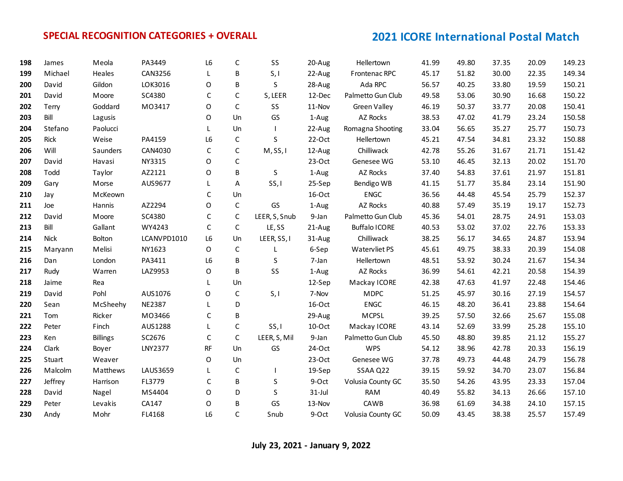| 198 | James       | Meola           | PA3449         | L <sub>6</sub> | C            | <b>SS</b>     | 20-Aug    | Hellertown           | 41.99 | 49.80 | 37.35 | 20.09 | 149.23 |
|-----|-------------|-----------------|----------------|----------------|--------------|---------------|-----------|----------------------|-------|-------|-------|-------|--------|
| 199 | Michael     | Heales          | CAN3256        | L              | B            | S, I          | 22-Aug    | Frontenac RPC        | 45.17 | 51.82 | 30.00 | 22.35 | 149.34 |
| 200 | David       | Gildon          | LOK3016        | $\mathsf O$    | B            | S             | 28-Aug    | Ada RPC              | 56.57 | 40.25 | 33.80 | 19.59 | 150.21 |
| 201 | David       | Moore           | SC4380         | $\mathsf{C}$   | $\mathsf C$  | S, LEER       | 12-Dec    | Palmetto Gun Club    | 49.58 | 53.06 | 30.90 | 16.68 | 150.22 |
| 202 | Terry       | Goddard         | M03417         | O              | $\mathsf C$  | SS            | 11-Nov    | <b>Green Valley</b>  | 46.19 | 50.37 | 33.77 | 20.08 | 150.41 |
| 203 | Bill        | Lagusis         |                | 0              | Un           | GS            | 1-Aug     | AZ Rocks             | 38.53 | 47.02 | 41.79 | 23.24 | 150.58 |
| 204 | Stefano     | Paolucci        |                | L              | Un           |               | 22-Aug    | Romagna Shooting     | 33.04 | 56.65 | 35.27 | 25.77 | 150.73 |
| 205 | Rick        | Weise           | PA4159         | L <sub>6</sub> | $\mathsf C$  | S             | $22-Oct$  | Hellertown           | 45.21 | 47.54 | 34.81 | 23.32 | 150.88 |
| 206 | Will        | Saunders        | CAN4030        | C              | $\mathsf{C}$ | M, SS, I      | 12-Aug    | Chilliwack           | 42.78 | 55.26 | 31.67 | 21.71 | 151.42 |
| 207 | David       | Havasi          | NY3315         | 0              | C            |               | $23-Oct$  | Genesee WG           | 53.10 | 46.45 | 32.13 | 20.02 | 151.70 |
| 208 | Todd        | Taylor          | AZ2121         | O              | B            | S             | 1-Aug     | AZ Rocks             | 37.40 | 54.83 | 37.61 | 21.97 | 151.81 |
| 209 | Gary        | Morse           | AUS9677        | L              | A            | SS, I         | 25-Sep    | Bendigo WB           | 41.15 | 51.77 | 35.84 | 23.14 | 151.90 |
| 210 | Jay         | McKeown         |                | C              | Un           |               | 16-Oct    | <b>ENGC</b>          | 36.56 | 44.48 | 45.54 | 25.79 | 152.37 |
| 211 | Joe         | Hannis          | AZ2294         | O              | $\mathsf C$  | GS            | 1-Aug     | AZ Rocks             | 40.88 | 57.49 | 35.19 | 19.17 | 152.73 |
| 212 | David       | Moore           | SC4380         | $\mathsf C$    | $\mathsf C$  | LEER, S, Snub | 9-Jan     | Palmetto Gun Club    | 45.36 | 54.01 | 28.75 | 24.91 | 153.03 |
| 213 | Bill        | Gallant         | WY4243         | C              | $\mathsf{C}$ | LE, SS        | 21-Aug    | <b>Buffalo ICORE</b> | 40.53 | 53.02 | 37.02 | 22.76 | 153.33 |
| 214 | <b>Nick</b> | Bolton          | LCANVPD1010    | L <sub>6</sub> | Un           | LEER, SS, I   | 31-Aug    | Chilliwack           | 38.25 | 56.17 | 34.65 | 24.87 | 153.94 |
| 215 | Maryann     | Melisi          | NY1623         | 0              | $\mathsf C$  | L             | 6-Sep     | Watervliet PS        | 45.61 | 49.75 | 38.33 | 20.39 | 154.08 |
| 216 | Dan         | London          | PA3411         | L <sub>6</sub> | B            | S             | 7-Jan     | Hellertown           | 48.51 | 53.92 | 30.24 | 21.67 | 154.34 |
| 217 | Rudy        | Warren          | LAZ9953        | O              | B            | SS            | 1-Aug     | AZ Rocks             | 36.99 | 54.61 | 42.21 | 20.58 | 154.39 |
| 218 | Jaime       | Rea             |                | L              | Un           |               | 12-Sep    | Mackay ICORE         | 42.38 | 47.63 | 41.97 | 22.48 | 154.46 |
| 219 | David       | Pohl            | AUS1076        | O              | $\mathsf C$  | S, I          | 7-Nov     | <b>MDPC</b>          | 51.25 | 45.97 | 30.16 | 27.19 | 154.57 |
| 220 | Sean        | McSheehy        | <b>NE2387</b>  | L              | D            |               | 16-Oct    | <b>ENGC</b>          | 46.15 | 48.20 | 36.41 | 23.88 | 154.64 |
| 221 | Tom         | Ricker          | MO3466         | C              | B            |               | 29-Aug    | <b>MCPSL</b>         | 39.25 | 57.50 | 32.66 | 25.67 | 155.08 |
| 222 | Peter       | Finch           | AUS1288        | L              | $\mathsf{C}$ | SS, I         | 10-Oct    | Mackay ICORE         | 43.14 | 52.69 | 33.99 | 25.28 | 155.10 |
| 223 | Ken         | <b>Billings</b> | SC2676         | C              | $\mathsf{C}$ | LEER, S, Mil  | 9-Jan     | Palmetto Gun Club    | 45.50 | 48.80 | 39.85 | 21.12 | 155.27 |
| 224 | Clark       | Boyer           | <b>LNY2377</b> | RF             | Un           | GS            | 24-Oct    | <b>WPS</b>           | 54.12 | 38.96 | 42.78 | 20.33 | 156.19 |
| 225 | Stuart      | Weaver          |                | O              | Un           |               | $23-Oct$  | Genesee WG           | 37.78 | 49.73 | 44.48 | 24.79 | 156.78 |
| 226 | Malcolm     | Matthews        | LAUS3659       | L              | $\mathsf C$  |               | 19-Sep    | SSAA Q22             | 39.15 | 59.92 | 34.70 | 23.07 | 156.84 |
| 227 | Jeffrey     | Harrison        | FL3779         | $\mathsf C$    | B            | S             | 9-Oct     | Volusia County GC    | 35.50 | 54.26 | 43.95 | 23.33 | 157.04 |
| 228 | David       | Nagel           | MS4404         | 0              | D            | S             | $31$ -Jul | <b>RAM</b>           | 40.49 | 55.82 | 34.13 | 26.66 | 157.10 |
| 229 | Peter       | Levakis         | CA147          | O              | B            | GS            | 13-Nov    | CAWB                 | 36.98 | 61.69 | 34.38 | 24.10 | 157.15 |
| 230 | Andy        | Mohr            | FL4168         | L <sub>6</sub> | $\mathsf{C}$ | Snub          | 9-Oct     | Volusia County GC    | 50.09 | 43.45 | 38.38 | 25.57 | 157.49 |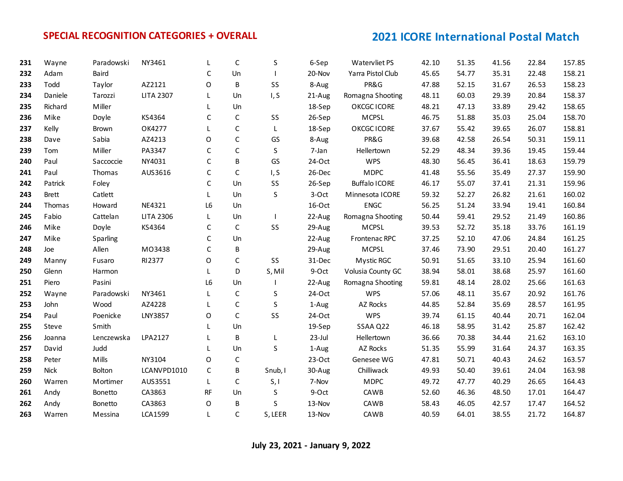| 231 | Wayne        | Paradowski | NY3461           |                | $\mathsf{C}$ | S            | 6-Sep     | Watervliet PS        | 42.10 | 51.35 | 41.56 | 22.84 | 157.85 |
|-----|--------------|------------|------------------|----------------|--------------|--------------|-----------|----------------------|-------|-------|-------|-------|--------|
| 232 | Adam         | Baird      |                  | C              | Un           |              | 20-Nov    | Yarra Pistol Club    | 45.65 | 54.77 | 35.31 | 22.48 | 158.21 |
| 233 | Todd         | Taylor     | AZ2121           | O              | B            | SS           | 8-Aug     | PR&G                 | 47.88 | 52.15 | 31.67 | 26.53 | 158.23 |
| 234 | Daniele      | Tarozzi    | <b>LITA 2307</b> | L              | Un           | I, S         | 21-Aug    | Romagna Shooting     | 48.11 | 60.03 | 29.39 | 20.84 | 158.37 |
| 235 | Richard      | Miller     |                  | L              | Un           |              | 18-Sep    | OKCGC ICORE          | 48.21 | 47.13 | 33.89 | 29.42 | 158.65 |
| 236 | Mike         | Doyle      | KS4364           | C              | $\mathsf C$  | SS           | 26-Sep    | <b>MCPSL</b>         | 46.75 | 51.88 | 35.03 | 25.04 | 158.70 |
| 237 | Kelly        | Brown      | OK4277           | L              | $\mathsf{C}$ | L            | 18-Sep    | OKCGC ICORE          | 37.67 | 55.42 | 39.65 | 26.07 | 158.81 |
| 238 | Dave         | Sabia      | AZ4213           | O              | $\mathsf C$  | GS           | 8-Aug     | PR&G                 | 39.68 | 42.58 | 26.54 | 50.31 | 159.11 |
| 239 | Tom          | Miller     | PA3347           | C              | $\mathsf{C}$ | S            | 7-Jan     | Hellertown           | 52.29 | 48.34 | 39.36 | 19.45 | 159.44 |
| 240 | Paul         | Saccoccie  | NY4031           | C              | B            | GS           | 24-Oct    | <b>WPS</b>           | 48.30 | 56.45 | 36.41 | 18.63 | 159.79 |
| 241 | Paul         | Thomas     | AUS3616          | C              | $\mathsf C$  | I, S         | 26-Dec    | <b>MDPC</b>          | 41.48 | 55.56 | 35.49 | 27.37 | 159.90 |
| 242 | Patrick      | Foley      |                  | C              | Un           | SS           | 26-Sep    | <b>Buffalo ICORE</b> | 46.17 | 55.07 | 37.41 | 21.31 | 159.96 |
| 243 | <b>Brett</b> | Catlett    |                  | L.             | Un           | S            | 3-Oct     | Minnesota ICORE      | 59.32 | 52.27 | 26.82 | 21.61 | 160.02 |
| 244 | Thomas       | Howard     | NE4321           | L <sub>6</sub> | Un           |              | 16-Oct    | <b>ENGC</b>          | 56.25 | 51.24 | 33.94 | 19.41 | 160.84 |
| 245 | Fabio        | Cattelan   | <b>LITA 2306</b> | L.             | Un           |              | 22-Aug    | Romagna Shooting     | 50.44 | 59.41 | 29.52 | 21.49 | 160.86 |
| 246 | Mike         | Doyle      | KS4364           | C              | C            | SS           | 29-Aug    | <b>MCPSL</b>         | 39.53 | 52.72 | 35.18 | 33.76 | 161.19 |
| 247 | Mike         | Sparling   |                  | C              | Un           |              | 22-Aug    | Frontenac RPC        | 37.25 | 52.10 | 47.06 | 24.84 | 161.25 |
| 248 | Joe          | Allen      | MO3438           | $\mathsf C$    | B            |              | 29-Aug    | <b>MCPSL</b>         | 37.46 | 73.90 | 29.51 | 20.40 | 161.27 |
| 249 | Manny        | Fusaro     | RI2377           | O              | $\mathsf C$  | SS           | 31-Dec    | Mystic RGC           | 50.91 | 51.65 | 33.10 | 25.94 | 161.60 |
| 250 | Glenn        | Harmon     |                  | L.             | D            | S, Mil       | 9-Oct     | Volusia County GC    | 38.94 | 58.01 | 38.68 | 25.97 | 161.60 |
| 251 | Piero        | Pasini     |                  | L6             | Un           |              | 22-Aug    | Romagna Shooting     | 59.81 | 48.14 | 28.02 | 25.66 | 161.63 |
| 252 | Wayne        | Paradowski | NY3461           | L              | $\mathsf C$  | S            | 24-Oct    | <b>WPS</b>           | 57.06 | 48.11 | 35.67 | 20.92 | 161.76 |
| 253 | John         | Wood       | AZ4228           | L              | $\mathsf{C}$ | S            | 1-Aug     | AZ Rocks             | 44.85 | 52.84 | 35.69 | 28.57 | 161.95 |
| 254 | Paul         | Poenicke   | LNY3857          | O              | $\mathsf{C}$ | SS           | 24-Oct    | <b>WPS</b>           | 39.74 | 61.15 | 40.44 | 20.71 | 162.04 |
| 255 | Steve        | Smith      |                  | L              | Un           |              | 19-Sep    | SSAA Q22             | 46.18 | 58.95 | 31.42 | 25.87 | 162.42 |
| 256 | Joanna       | Lenczewska | LPA2127          | L              | B            | L            | $23$ -Jul | Hellertown           | 36.66 | 70.38 | 34.44 | 21.62 | 163.10 |
| 257 | David        | Judd       |                  | L              | Un           | <sub>S</sub> | 1-Aug     | AZ Rocks             | 51.35 | 55.99 | 31.64 | 24.37 | 163.35 |
| 258 | Peter        | Mills      | NY3104           | $\Omega$       | $\mathsf{C}$ |              | $23-Oct$  | Genesee WG           | 47.81 | 50.71 | 40.43 | 24.62 | 163.57 |
| 259 | <b>Nick</b>  | Bolton     | LCANVPD1010      | C              | B            | Snub, I      | 30-Aug    | Chilliwack           | 49.93 | 50.40 | 39.61 | 24.04 | 163.98 |
| 260 | Warren       | Mortimer   | AUS3551          | L              | C            | S, I         | 7-Nov     | <b>MDPC</b>          | 49.72 | 47.77 | 40.29 | 26.65 | 164.43 |
| 261 | Andy         | Bonetto    | CA3863           | RF             | Un           | S            | 9-Oct     | CAWB                 | 52.60 | 46.36 | 48.50 | 17.01 | 164.47 |
| 262 | Andy         | Bonetto    | CA3863           | O              | B            | $\sf S$      | 13-Nov    | CAWB                 | 58.43 | 46.05 | 42.57 | 17.47 | 164.52 |
| 263 | Warren       | Messina    | <b>LCA1599</b>   | L              | C            | S, LEER      | 13-Nov    | CAWB                 | 40.59 | 64.01 | 38.55 | 21.72 | 164.87 |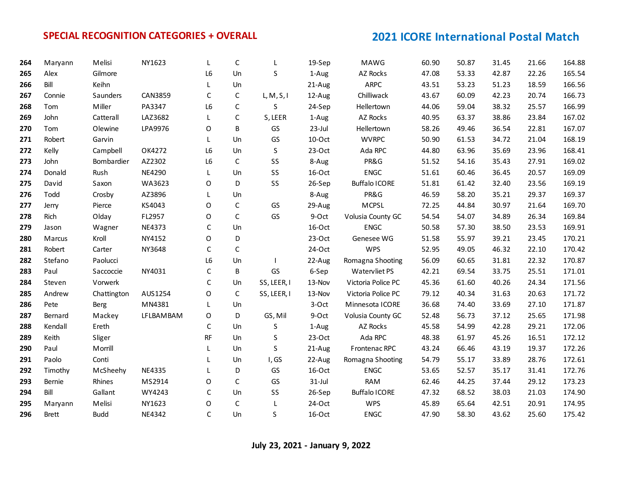| 264 | Maryann      | Melisi      | NY1623    |           | C            | L           | 19-Sep    | MAWG                 | 60.90 | 50.87 | 31.45 | 21.66 | 164.88 |
|-----|--------------|-------------|-----------|-----------|--------------|-------------|-----------|----------------------|-------|-------|-------|-------|--------|
| 265 | Alex         | Gilmore     |           | L6        | Un           | S           | 1-Aug     | AZ Rocks             | 47.08 | 53.33 | 42.87 | 22.26 | 165.54 |
| 266 | Bill         | Keihn       |           | L         | Un           |             | 21-Aug    | <b>ARPC</b>          | 43.51 | 53.23 | 51.23 | 18.59 | 166.56 |
| 267 | Connie       | Saunders    | CAN3859   | C         | C            | L, M, S, I  | 12-Aug    | Chilliwack           | 43.67 | 60.09 | 42.23 | 20.74 | 166.73 |
| 268 | Tom          | Miller      | PA3347    | L6        | $\mathsf C$  | S           | 24-Sep    | Hellertown           | 44.06 | 59.04 | 38.32 | 25.57 | 166.99 |
| 269 | John         | Catterall   | LAZ3682   | L         | $\mathsf C$  | S, LEER     | 1-Aug     | AZ Rocks             | 40.95 | 63.37 | 38.86 | 23.84 | 167.02 |
| 270 | Tom          | Olewine     | LPA9976   | O         | B            | GS          | 23-Jul    | Hellertown           | 58.26 | 49.46 | 36.54 | 22.81 | 167.07 |
| 271 | Robert       | Garvin      |           | L         | Un           | GS          | 10-Oct    | <b>WVRPC</b>         | 50.90 | 61.53 | 34.72 | 21.04 | 168.19 |
| 272 | Kelly        | Campbell    | OK4272    | L6        | Un           | S           | $23-Oct$  | Ada RPC              | 44.80 | 63.96 | 35.69 | 23.96 | 168.41 |
| 273 | John         | Bombardier  | AZ2302    | L6        | $\mathsf C$  | SS          | 8-Aug     | PR&G                 | 51.52 | 54.16 | 35.43 | 27.91 | 169.02 |
| 274 | Donald       | Rush        | NE4290    | L         | Un           | SS          | 16-Oct    | <b>ENGC</b>          | 51.61 | 60.46 | 36.45 | 20.57 | 169.09 |
| 275 | David        | Saxon       | WA3623    | O         | D            | SS          | 26-Sep    | <b>Buffalo ICORE</b> | 51.81 | 61.42 | 32.40 | 23.56 | 169.19 |
| 276 | Todd         | Crosby      | AZ3896    | L.        | Un           |             | 8-Aug     | PR&G                 | 46.59 | 58.20 | 35.21 | 29.37 | 169.37 |
| 277 | Jerry        | Pierce      | KS4043    | $\Omega$  | C            | GS          | 29-Aug    | MCPSL                | 72.25 | 44.84 | 30.97 | 21.64 | 169.70 |
| 278 | Rich         | Olday       | FL2957    | O         | $\mathsf C$  | GS          | 9-Oct     | Volusia County GC    | 54.54 | 54.07 | 34.89 | 26.34 | 169.84 |
| 279 | Jason        | Wagner      | NE4373    | C         | Un           |             | 16-Oct    | <b>ENGC</b>          | 50.58 | 57.30 | 38.50 | 23.53 | 169.91 |
| 280 | Marcus       | Kroll       | NY4152    | O         | D            |             | $23-Oct$  | Genesee WG           | 51.58 | 55.97 | 39.21 | 23.45 | 170.21 |
| 281 | Robert       | Carter      | NY3648    | C         | $\mathsf{C}$ |             | 24-Oct    | <b>WPS</b>           | 52.95 | 49.05 | 46.32 | 22.10 | 170.42 |
| 282 | Stefano      | Paolucci    |           | L6        | Un           |             | 22-Aug    | Romagna Shooting     | 56.09 | 60.65 | 31.81 | 22.32 | 170.87 |
| 283 | Paul         | Saccoccie   | NY4031    | С         | B            | GS          | 6-Sep     | Watervliet PS        | 42.21 | 69.54 | 33.75 | 25.51 | 171.01 |
| 284 | Steven       | Vorwerk     |           | C         | Un           | SS, LEER, I | 13-Nov    | Victoria Police PC   | 45.36 | 61.60 | 40.26 | 24.34 | 171.56 |
| 285 | Andrew       | Chattington | AUS1254   | $\Omega$  | $\mathsf{C}$ | SS, LEER, I | 13-Nov    | Victoria Police PC   | 79.12 | 40.34 | 31.63 | 20.63 | 171.72 |
| 286 | Pete         | Berg        | MN4381    | L         | Un           |             | 3-Oct     | Minnesota ICORE      | 36.68 | 74.40 | 33.69 | 27.10 | 171.87 |
| 287 | Bernard      | Mackey      | LFLBAMBAM | O         | D            | GS, Mil     | 9-Oct     | Volusia County GC    | 52.48 | 56.73 | 37.12 | 25.65 | 171.98 |
| 288 | Kendall      | Ereth       |           | С         | Un           | $\sf S$     | 1-Aug     | AZ Rocks             | 45.58 | 54.99 | 42.28 | 29.21 | 172.06 |
| 289 | Keith        | Sliger      |           | <b>RF</b> | Un           | S           | $23-Oct$  | Ada RPC              | 48.38 | 61.97 | 45.26 | 16.51 | 172.12 |
| 290 | Paul         | Morrill     |           | L         | Un           | S           | 21-Aug    | Frontenac RPC        | 43.24 | 66.46 | 43.19 | 19.37 | 172.26 |
| 291 | Paolo        | Conti       |           |           | Un           | I, GS       | 22-Aug    | Romagna Shooting     | 54.79 | 55.17 | 33.89 | 28.76 | 172.61 |
| 292 | Timothy      | McSheehy    | NE4335    |           | D            | GS          | 16-Oct    | <b>ENGC</b>          | 53.65 | 52.57 | 35.17 | 31.41 | 172.76 |
| 293 | Bernie       | Rhines      | MS2914    | 0         | $\mathsf{C}$ | GS          | $31$ -Jul | <b>RAM</b>           | 62.46 | 44.25 | 37.44 | 29.12 | 173.23 |
| 294 | Bill         | Gallant     | WY4243    | C         | Un           | SS          | 26-Sep    | <b>Buffalo ICORE</b> | 47.32 | 68.52 | 38.03 | 21.03 | 174.90 |
| 295 | Maryann      | Melisi      | NY1623    | O         | $\mathsf C$  | L           | 24-Oct    | <b>WPS</b>           | 45.89 | 65.64 | 42.51 | 20.91 | 174.95 |
| 296 | <b>Brett</b> | <b>Budd</b> | NE4342    | C         | Un           | S           | 16-Oct    | <b>ENGC</b>          | 47.90 | 58.30 | 43.62 | 25.60 | 175.42 |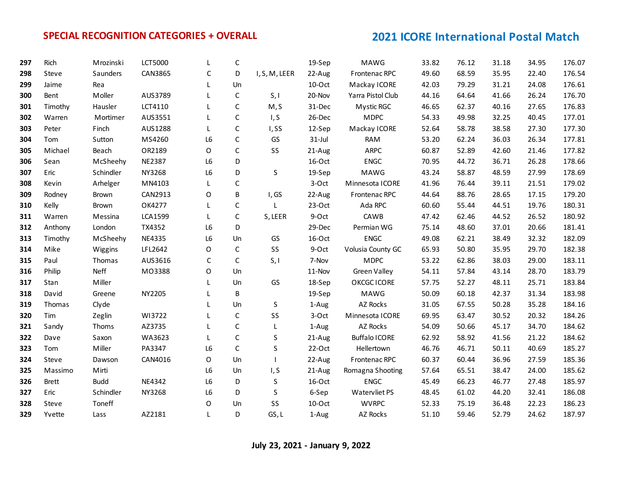| 297 | Rich         | Mrozinski   | <b>LCT5000</b> |                | C           |               | 19-Sep    | MAWG                 | 33.82 | 76.12 | 31.18 | 34.95 | 176.07 |
|-----|--------------|-------------|----------------|----------------|-------------|---------------|-----------|----------------------|-------|-------|-------|-------|--------|
| 298 | Steve        | Saunders    | CAN3865        | С              | D           | I, S, M, LEER | 22-Aug    | Frontenac RPC        | 49.60 | 68.59 | 35.95 | 22.40 | 176.54 |
| 299 | Jaime        | Rea         |                | L              | Un          |               | 10-Oct    | Mackay ICORE         | 42.03 | 79.29 | 31.21 | 24.08 | 176.61 |
| 300 | Bent         | Moller      | AUS3789        |                | $\mathsf C$ | S, I          | 20-Nov    | Yarra Pistol Club    | 44.16 | 64.64 | 41.66 | 26.24 | 176.70 |
| 301 | Timothy      | Hausler     | LCT4110        | L              | $\mathsf C$ | M, S          | 31-Dec    | Mystic RGC           | 46.65 | 62.37 | 40.16 | 27.65 | 176.83 |
| 302 | Warren       | Mortimer    | AUS3551        | L              | $\mathsf C$ | I, S          | 26-Dec    | <b>MDPC</b>          | 54.33 | 49.98 | 32.25 | 40.45 | 177.01 |
| 303 | Peter        | Finch       | AUS1288        | L              | $\mathsf C$ | I,SS          | 12-Sep    | Mackay ICORE         | 52.64 | 58.78 | 38.58 | 27.30 | 177.30 |
| 304 | Tom          | Sutton      | MS4260         | L <sub>6</sub> | $\mathsf C$ | GS            | $31$ -Jul | <b>RAM</b>           | 53.20 | 62.24 | 36.03 | 26.34 | 177.81 |
| 305 | Michael      | Beach       | OR2189         | 0              | $\mathsf C$ | SS            | 21-Aug    | <b>ARPC</b>          | 60.87 | 52.89 | 42.60 | 21.46 | 177.82 |
| 306 | Sean         | McSheehy    | <b>NE2387</b>  | L6             | D           |               | 16-Oct    | <b>ENGC</b>          | 70.95 | 44.72 | 36.71 | 26.28 | 178.66 |
| 307 | Eric         | Schindler   | NY3268         | L6             | D           | $\sf S$       | 19-Sep    | <b>MAWG</b>          | 43.24 | 58.87 | 48.59 | 27.99 | 178.69 |
| 308 | Kevin        | Arhelger    | MN4103         | L              | $\mathsf C$ |               | 3-Oct     | Minnesota ICORE      | 41.96 | 76.44 | 39.11 | 21.51 | 179.02 |
| 309 | Rodney       | Brown       | CAN2913        | O              | B           | I, GS         | 22-Aug    | Frontenac RPC        | 44.64 | 88.76 | 28.65 | 17.15 | 179.20 |
| 310 | Kelly        | Brown       | OK4277         | L              | C           | L             | $23-Oct$  | Ada RPC              | 60.60 | 55.44 | 44.51 | 19.76 | 180.31 |
| 311 | Warren       | Messina     | <b>LCA1599</b> | L              | $\mathsf C$ | S, LEER       | 9-Oct     | CAWB                 | 47.42 | 62.46 | 44.52 | 26.52 | 180.92 |
| 312 | Anthony      | London      | TX4352         | L <sub>6</sub> | D           |               | 29-Dec    | Permian WG           | 75.14 | 48.60 | 37.01 | 20.66 | 181.41 |
| 313 | Timothy      | McSheehy    | NE4335         | L <sub>6</sub> | Un          | GS            | 16-Oct    | <b>ENGC</b>          | 49.08 | 62.21 | 38.49 | 32.32 | 182.09 |
| 314 | Mike         | Wiggins     | LFL2642        | O              | $\mathsf C$ | SS            | 9-Oct     | Volusia County GC    | 65.93 | 50.80 | 35.95 | 29.70 | 182.38 |
| 315 | Paul         | Thomas      | AUS3616        | $\mathsf{C}$   | $\mathsf C$ | S, I          | 7-Nov     | <b>MDPC</b>          | 53.22 | 62.86 | 38.03 | 29.00 | 183.11 |
| 316 | Philip       | <b>Neff</b> | M03388         | O              | Un          |               | 11-Nov    | Green Valley         | 54.11 | 57.84 | 43.14 | 28.70 | 183.79 |
| 317 | Stan         | Miller      |                |                | Un          | GS            | 18-Sep    | OKCGC ICORE          | 57.75 | 52.27 | 48.11 | 25.71 | 183.84 |
| 318 | David        | Greene      | NY2205         |                | B           |               | 19-Sep    | MAWG                 | 50.09 | 60.18 | 42.37 | 31.34 | 183.98 |
| 319 | Thomas       | Clyde       |                | L              | Un          | S             | 1-Aug     | AZ Rocks             | 31.05 | 67.55 | 50.28 | 35.28 | 184.16 |
| 320 | Tim          | Zeglin      | WI3722         |                | $\mathsf C$ | SS            | 3-Oct     | Minnesota ICORE      | 69.95 | 63.47 | 30.52 | 20.32 | 184.26 |
| 321 | Sandy        | Thoms       | AZ3735         |                | $\mathsf C$ | L             | 1-Aug     | AZ Rocks             | 54.09 | 50.66 | 45.17 | 34.70 | 184.62 |
| 322 | Dave         | Saxon       | WA3623         | L              | $\mathsf C$ | S             | 21-Aug    | <b>Buffalo ICORE</b> | 62.92 | 58.92 | 41.56 | 21.22 | 184.62 |
| 323 | Tom          | Miller      | PA3347         | L6             | $\mathsf C$ | S             | $22-Oct$  | Hellertown           | 46.76 | 46.71 | 50.11 | 40.69 | 185.27 |
| 324 | Steve        | Dawson      | CAN4016        | 0              | Un          |               | 22-Aug    | Frontenac RPC        | 60.37 | 60.44 | 36.96 | 27.59 | 185.36 |
| 325 | Massimo      | Mirti       |                | L <sub>6</sub> | Un          | I, S          | 21-Aug    | Romagna Shooting     | 57.64 | 65.51 | 38.47 | 24.00 | 185.62 |
| 326 | <b>Brett</b> | <b>Budd</b> | NE4342         | L6             | D           | S.            | 16-Oct    | <b>ENGC</b>          | 45.49 | 66.23 | 46.77 | 27.48 | 185.97 |
| 327 | Eric         | Schindler   | NY3268         | L6             | D           | S             | 6-Sep     | Watervliet PS        | 48.45 | 61.02 | 44.20 | 32.41 | 186.08 |
| 328 | Steve        | Toneff      |                | O              | Un          | SS            | 10-Oct    | <b>WVRPC</b>         | 52.33 | 75.19 | 36.48 | 22.23 | 186.23 |
| 329 | Yvette       | Lass        | AZ2181         | $\mathbf{L}$   | D           | GS, L         | 1-Aug     | AZ Rocks             | 51.10 | 59.46 | 52.79 | 24.62 | 187.97 |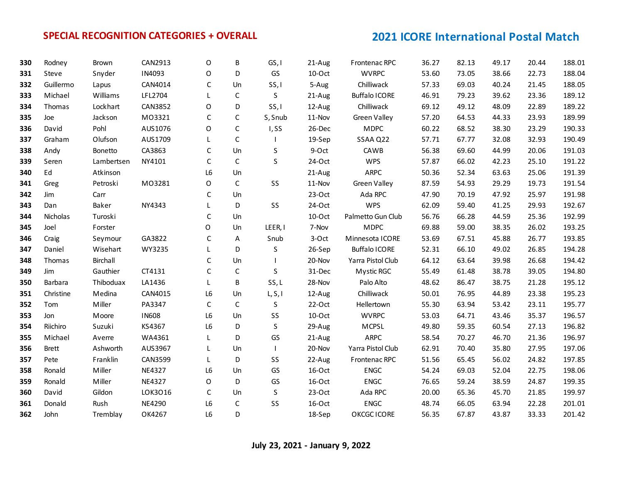| 330 | Rodney       | Brown      | CAN2913        | O              | B            | GS, I   | 21-Aug   | Frontenac RPC        | 36.27 | 82.13 | 49.17 | 20.44 | 188.01 |
|-----|--------------|------------|----------------|----------------|--------------|---------|----------|----------------------|-------|-------|-------|-------|--------|
| 331 | Steve        | Snyder     | IN4093         | O              | D            | GS      | 10-Oct   | <b>WVRPC</b>         | 53.60 | 73.05 | 38.66 | 22.73 | 188.04 |
| 332 | Guillermo    | Lapus      | CAN4014        | C              | Un           | SS, I   | 5-Aug    | Chilliwack           | 57.33 | 69.03 | 40.24 | 21.45 | 188.05 |
| 333 | Michael      | Williams   | LFL2704        | L              | $\mathsf C$  | $\sf S$ | 21-Aug   | <b>Buffalo ICORE</b> | 46.91 | 79.23 | 39.62 | 23.36 | 189.12 |
| 334 | Thomas       | Lockhart   | CAN3852        | O              | D            | SS, I   | 12-Aug   | Chilliwack           | 69.12 | 49.12 | 48.09 | 22.89 | 189.22 |
| 335 | Joe          | Jackson    | M03321         | $\mathsf{C}$   | C            | S, Snub | 11-Nov   | Green Valley         | 57.20 | 64.53 | 44.33 | 23.93 | 189.99 |
| 336 | David        | Pohl       | AUS1076        | O              | C            | I, SS   | 26-Dec   | <b>MDPC</b>          | 60.22 | 68.52 | 38.30 | 23.29 | 190.33 |
| 337 | Graham       | Olufson    | AUS1709        | L              | $\mathsf C$  |         | 19-Sep   | SSAA Q22             | 57.71 | 67.77 | 32.08 | 32.93 | 190.49 |
| 338 | Andy         | Bonetto    | CA3863         | $\mathsf C$    | Un           | S       | 9-Oct    | CAWB                 | 56.38 | 69.60 | 44.99 | 20.06 | 191.03 |
| 339 | Seren        | Lambertsen | NY4101         | $\mathsf{C}$   | $\mathsf{C}$ | S       | 24-Oct   | <b>WPS</b>           | 57.87 | 66.02 | 42.23 | 25.10 | 191.22 |
| 340 | Ed           | Atkinson   |                | L <sub>6</sub> | Un           |         | 21-Aug   | <b>ARPC</b>          | 50.36 | 52.34 | 63.63 | 25.06 | 191.39 |
| 341 | Greg         | Petroski   | M03281         | $\mathsf O$    | $\mathsf C$  | SS      | 11-Nov   | Green Valley         | 87.59 | 54.93 | 29.29 | 19.73 | 191.54 |
| 342 | Jim          | Carr       |                | C              | Un           |         | $23-Oct$ | Ada RPC              | 47.90 | 70.19 | 47.92 | 25.97 | 191.98 |
| 343 | Dan          | Baker      | NY4343         | L              | D            | SS      | 24-Oct   | <b>WPS</b>           | 62.09 | 59.40 | 41.25 | 29.93 | 192.67 |
| 344 | Nicholas     | Turoski    |                | $\mathsf{C}$   | Un           |         | 10-Oct   | Palmetto Gun Club    | 56.76 | 66.28 | 44.59 | 25.36 | 192.99 |
| 345 | Joel         | Forster    |                | $\Omega$       | Un           | LEER, I | 7-Nov    | <b>MDPC</b>          | 69.88 | 59.00 | 38.35 | 26.02 | 193.25 |
| 346 | Craig        | Seymour    | GA3822         | C              | A            | Snub    | 3-Oct    | Minnesota ICORE      | 53.69 | 67.51 | 45.88 | 26.77 | 193.85 |
| 347 | Daniel       | Wisehart   | WY3235         | L              | D            | $\sf S$ | 26-Sep   | <b>Buffalo ICORE</b> | 52.31 | 66.10 | 49.02 | 26.85 | 194.28 |
| 348 | Thomas       | Birchall   |                | $\mathsf{C}$   | Un           |         | 20-Nov   | Yarra Pistol Club    | 64.12 | 63.64 | 39.98 | 26.68 | 194.42 |
| 349 | Jim          | Gauthier   | CT4131         | C              | $\mathsf C$  | S       | 31-Dec   | Mystic RGC           | 55.49 | 61.48 | 38.78 | 39.05 | 194.80 |
| 350 | Barbara      | Thiboduax  | LA1436         | L              | B            | SS, L   | 28-Nov   | Palo Alto            | 48.62 | 86.47 | 38.75 | 21.28 | 195.12 |
| 351 | Christine    | Medina     | CAN4015        | L <sub>6</sub> | Un           | L, S, I | 12-Aug   | Chilliwack           | 50.01 | 76.95 | 44.89 | 23.38 | 195.23 |
| 352 | Tom          | Miller     | PA3347         | C              | $\mathsf{C}$ | S       | $22-Oct$ | Hellertown           | 55.30 | 63.94 | 53.42 | 23.11 | 195.77 |
| 353 | Jon          | Moore      | <b>IN608</b>   | L <sub>6</sub> | Un           | SS      | 10-Oct   | <b>WVRPC</b>         | 53.03 | 64.71 | 43.46 | 35.37 | 196.57 |
| 354 | Riichiro     | Suzuki     | KS4367         | L <sub>6</sub> | D            | $\sf S$ | 29-Aug   | <b>MCPSL</b>         | 49.80 | 59.35 | 60.54 | 27.13 | 196.82 |
| 355 | Michael      | Averre     | WA4361         | L              | D            | GS      | 21-Aug   | ARPC                 | 58.54 | 70.27 | 46.70 | 21.36 | 196.97 |
| 356 | <b>Brett</b> | Ashworth   | AUS3967        | L              | Un           |         | 20-Nov   | Yarra Pistol Club    | 62.91 | 70.40 | 35.80 | 27.95 | 197.06 |
| 357 | Pete         | Franklin   | <b>CAN3599</b> | L              | D            | SS      | 22-Aug   | Frontenac RPC        | 51.56 | 65.45 | 56.02 | 24.82 | 197.85 |
| 358 | Ronald       | Miller     | NE4327         | L <sub>6</sub> | Un           | GS      | 16-Oct   | <b>ENGC</b>          | 54.24 | 69.03 | 52.04 | 22.75 | 198.06 |
| 359 | Ronald       | Miller     | <b>NE4327</b>  | $\mathsf O$    | D            | GS      | 16-Oct   | <b>ENGC</b>          | 76.65 | 59.24 | 38.59 | 24.87 | 199.35 |
| 360 | David        | Gildon     | LOK3016        | $\mathsf C$    | Un           | S       | $23-Oct$ | Ada RPC              | 20.00 | 65.36 | 45.70 | 21.85 | 199.97 |
| 361 | Donald       | Rush       | NE4290         | L <sub>6</sub> | $\mathsf C$  | SS      | 16-Oct   | <b>ENGC</b>          | 48.74 | 66.05 | 63.94 | 22.28 | 201.01 |
| 362 | John         | Tremblay   | OK4267         | L <sub>6</sub> | D            |         | 18-Sep   | OKCGC ICORE          | 56.35 | 67.87 | 43.87 | 33.33 | 201.42 |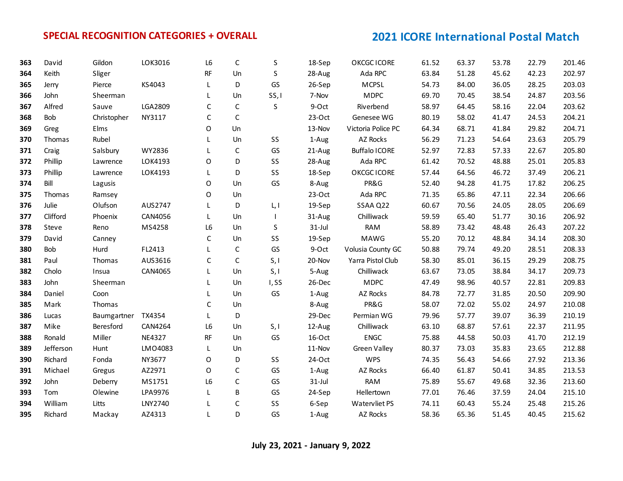| 363 | David     | Gildon             | LOK3016        | L6          | C            | S     | 18-Sep    | OKCGC ICORE          | 61.52 | 63.37 | 53.78 | 22.79 | 201.46 |
|-----|-----------|--------------------|----------------|-------------|--------------|-------|-----------|----------------------|-------|-------|-------|-------|--------|
| 364 | Keith     | Sliger             |                | <b>RF</b>   | Un           | S     | 28-Aug    | Ada RPC              | 63.84 | 51.28 | 45.62 | 42.23 | 202.97 |
| 365 | Jerry     | Pierce             | KS4043         | L           | D            | GS    | 26-Sep    | <b>MCPSL</b>         | 54.73 | 84.00 | 36.05 | 28.25 | 203.03 |
| 366 | John      | Sheerman           |                | L           | Un           | SS, I | 7-Nov     | <b>MDPC</b>          | 69.70 | 70.45 | 38.54 | 24.87 | 203.56 |
| 367 | Alfred    | Sauve              | LGA2809        | C           | $\mathsf C$  | S     | 9-Oct     | Riverbend            | 58.97 | 64.45 | 58.16 | 22.04 | 203.62 |
| 368 | Bob       | Christopher        | NY3117         | C           | $\mathsf{C}$ |       | $23-Oct$  | Genesee WG           | 80.19 | 58.02 | 41.47 | 24.53 | 204.21 |
| 369 | Greg      | Elms               |                | O           | Un           |       | 13-Nov    | Victoria Police PC   | 64.34 | 68.71 | 41.84 | 29.82 | 204.71 |
| 370 | Thomas    | Rubel              |                |             | Un           | SS    | 1-Aug     | AZ Rocks             | 56.29 | 71.23 | 54.64 | 23.63 | 205.79 |
| 371 | Craig     | Salsbury           | WY2836         |             | $\mathsf{C}$ | GS    | 21-Aug    | <b>Buffalo ICORE</b> | 52.97 | 72.83 | 57.33 | 22.67 | 205.80 |
| 372 | Phillip   | Lawrence           | LOK4193        | $\circ$     | D            | SS    | 28-Aug    | Ada RPC              | 61.42 | 70.52 | 48.88 | 25.01 | 205.83 |
| 373 | Phillip   | Lawrence           | LOK4193        | L           | D            | SS    | 18-Sep    | OKCGC ICORE          | 57.44 | 64.56 | 46.72 | 37.49 | 206.21 |
| 374 | Bill      | Lagusis            |                | $\mathsf O$ | Un           | GS    | 8-Aug     | PR&G                 | 52.40 | 94.28 | 41.75 | 17.82 | 206.25 |
| 375 | Thomas    | Ramsey             |                | $\circ$     | Un           |       | $23-Oct$  | Ada RPC              | 71.35 | 65.86 | 47.11 | 22.34 | 206.66 |
| 376 | Julie     | Olufson            | AUS2747        | L           | D            | L, I  | 19-Sep    | SSAA Q22             | 60.67 | 70.56 | 24.05 | 28.05 | 206.69 |
| 377 | Clifford  | Phoenix            | CAN4056        | L           | Un           |       | 31-Aug    | Chilliwack           | 59.59 | 65.40 | 51.77 | 30.16 | 206.92 |
| 378 | Steve     | Reno               | MS4258         | L6          | Un           | S     | $31$ -Jul | <b>RAM</b>           | 58.89 | 73.42 | 48.48 | 26.43 | 207.22 |
| 379 | David     | Canney             |                | C           | Un           | SS    | 19-Sep    | <b>MAWG</b>          | 55.20 | 70.12 | 48.84 | 34.14 | 208.30 |
| 380 | Bob       | Hurd               | FL2413         |             | $\mathsf C$  | GS    | 9-Oct     | Volusia County GC    | 50.88 | 79.74 | 49.20 | 28.51 | 208.33 |
| 381 | Paul      | Thomas             | AUS3616        | C           | $\mathsf{C}$ | S, I  | 20-Nov    | Yarra Pistol Club    | 58.30 | 85.01 | 36.15 | 29.29 | 208.75 |
| 382 | Cholo     | Insua              | CAN4065        | L           | Un           | S, I  | 5-Aug     | Chilliwack           | 63.67 | 73.05 | 38.84 | 34.17 | 209.73 |
| 383 | John      | Sheerman           |                | L           | Un           | I, SS | 26-Dec    | <b>MDPC</b>          | 47.49 | 98.96 | 40.57 | 22.81 | 209.83 |
| 384 | Daniel    | Coon               |                | L           | Un           | GS    | 1-Aug     | AZ Rocks             | 84.78 | 72.77 | 31.85 | 20.50 | 209.90 |
| 385 | Mark      | Thomas             |                | C           | Un           |       | 8-Aug     | PR&G                 | 58.07 | 72.02 | 55.02 | 24.97 | 210.08 |
| 386 | Lucas     | Baumgartner TX4354 |                | L           | D            |       | 29-Dec    | Permian WG           | 79.96 | 57.77 | 39.07 | 36.39 | 210.19 |
| 387 | Mike      | Beresford          | <b>CAN4264</b> | L6          | Un           | S, I  | 12-Aug    | Chilliwack           | 63.10 | 68.87 | 57.61 | 22.37 | 211.95 |
| 388 | Ronald    | Miller             | NE4327         | RF          | Un           | GS    | 16-Oct    | ENGC                 | 75.88 | 44.58 | 50.03 | 41.70 | 212.19 |
| 389 | Jefferson | Hunt               | LMO4083        | L           | Un           |       | 11-Nov    | <b>Green Valley</b>  | 80.37 | 73.03 | 35.83 | 23.65 | 212.88 |
| 390 | Richard   | Fonda              | NY3677         | 0           | D            | SS    | 24-Oct    | <b>WPS</b>           | 74.35 | 56.43 | 54.66 | 27.92 | 213.36 |
| 391 | Michael   | Gregus             | AZ2971         | O           | $\mathsf C$  | GS    | 1-Aug     | AZ Rocks             | 66.40 | 61.87 | 50.41 | 34.85 | 213.53 |
| 392 | John      | Deberry            | MS1751         | L6          | $\mathsf{C}$ | GS    | $31$ -Jul | <b>RAM</b>           | 75.89 | 55.67 | 49.68 | 32.36 | 213.60 |
| 393 | Tom       | Olewine            | LPA9976        | L           | B            | GS    | 24-Sep    | Hellertown           | 77.01 | 76.46 | 37.59 | 24.04 | 215.10 |
| 394 | William   | Litts              | LNY2740        |             | $\mathsf C$  | SS    | 6-Sep     | Watervliet PS        | 74.11 | 60.43 | 55.24 | 25.48 | 215.26 |
| 395 | Richard   | Mackay             | AZ4313         |             | D            | GS    | 1-Aug     | AZ Rocks             | 58.36 | 65.36 | 51.45 | 40.45 | 215.62 |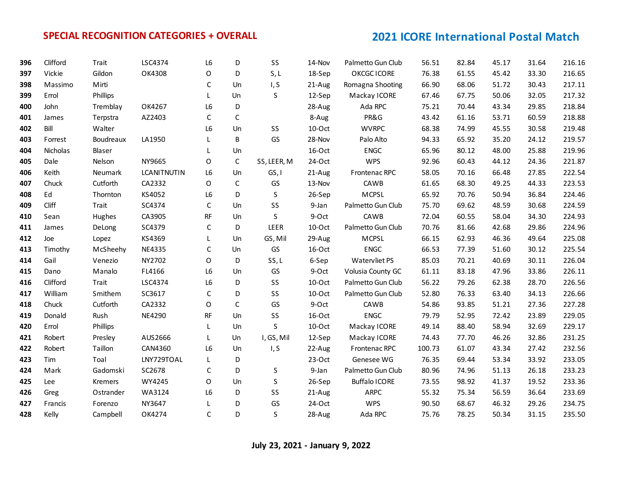| 396 | Clifford | Trait     | LSC4374            | L <sub>6</sub> | D            | SS          | 14-Nov    | Palmetto Gun Club    | 56.51  | 82.84 | 45.17 | 31.64 | 216.16 |
|-----|----------|-----------|--------------------|----------------|--------------|-------------|-----------|----------------------|--------|-------|-------|-------|--------|
| 397 | Vickie   | Gildon    | OK4308             | O              | D            | S, L        | 18-Sep    | OKCGC ICORE          | 76.38  | 61.55 | 45.42 | 33.30 | 216.65 |
| 398 | Massimo  | Mirti     |                    | C              | Un           | I, S        | 21-Aug    | Romagna Shooting     | 66.90  | 68.06 | 51.72 | 30.43 | 217.11 |
| 399 | Errol    | Phillips  |                    | L              | Un           | S           | 12-Sep    | Mackay ICORE         | 67.46  | 67.75 | 50.06 | 32.05 | 217.32 |
| 400 | John     | Tremblay  | OK4267             | L6             | D            |             | 28-Aug    | Ada RPC              | 75.21  | 70.44 | 43.34 | 29.85 | 218.84 |
| 401 | James    | Terpstra  | AZ2403             | C              | $\mathsf{C}$ |             | 8-Aug     | PR&G                 | 43.42  | 61.16 | 53.71 | 60.59 | 218.88 |
| 402 | Bill     | Walter    |                    | L6             | Un           | SS          | 10-Oct    | <b>WVRPC</b>         | 68.38  | 74.99 | 45.55 | 30.58 | 219.48 |
| 403 | Forrest  | Boudreaux | LA1950             | L.             | B            | GS          | 28-Nov    | Palo Alto            | 94.33  | 65.92 | 35.20 | 24.12 | 219.57 |
| 404 | Nicholas | Blaser    |                    | L              | Un           |             | 16-Oct    | <b>ENGC</b>          | 65.96  | 80.12 | 48.00 | 25.88 | 219.96 |
| 405 | Dale     | Nelson    | NY9665             | $\Omega$       | $\mathsf{C}$ | SS, LEER, M | 24-Oct    | <b>WPS</b>           | 92.96  | 60.43 | 44.12 | 24.36 | 221.87 |
| 406 | Keith    | Neumark   | <b>LCANITNUTIN</b> | L <sub>6</sub> | Un           | GS, I       | 21-Aug    | Frontenac RPC        | 58.05  | 70.16 | 66.48 | 27.85 | 222.54 |
| 407 | Chuck    | Cutforth  | CA2332             | 0              | $\mathsf C$  | GS          | 13-Nov    | CAWB                 | 61.65  | 68.30 | 49.25 | 44.33 | 223.53 |
| 408 | Ed       | Thornton  | KS4052             | L6             | D            | S           | 26-Sep    | <b>MCPSL</b>         | 65.92  | 70.76 | 50.94 | 36.84 | 224.46 |
| 409 | Cliff    | Trait     | SC4374             | $\mathsf C$    | Un           | SS          | 9-Jan     | Palmetto Gun Club    | 75.70  | 69.62 | 48.59 | 30.68 | 224.59 |
| 410 | Sean     | Hughes    | CA3905             | RF             | Un           | $\sf S$     | 9-Oct     | CAWB                 | 72.04  | 60.55 | 58.04 | 34.30 | 224.93 |
| 411 | James    | DeLong    | SC4379             | С              | D            | LEER        | 10-Oct    | Palmetto Gun Club    | 70.76  | 81.66 | 42.68 | 29.86 | 224.96 |
| 412 | Joe      | Lopez     | KS4369             | L              | Un           | GS, Mil     | 29-Aug    | <b>MCPSL</b>         | 66.15  | 62.93 | 46.36 | 49.64 | 225.08 |
| 413 | Timothy  | McSheehy  | NE4335             | C              | Un           | GS          | 16-Oct    | <b>ENGC</b>          | 66.53  | 77.39 | 51.60 | 30.12 | 225.54 |
| 414 | Gail     | Venezio   | NY2702             | O              | D            | SS, L       | 6-Sep     | Watervliet PS        | 85.03  | 70.21 | 40.69 | 30.11 | 226.04 |
| 415 | Dano     | Manalo    | FL4166             | L6             | Un           | GS          | 9-Oct     | Volusia County GC    | 61.11  | 83.18 | 47.96 | 33.86 | 226.11 |
| 416 | Clifford | Trait     | LSC4374            | L6             | D            | SS          | $10$ -Oct | Palmetto Gun Club    | 56.22  | 79.26 | 62.38 | 28.70 | 226.56 |
| 417 | William  | Smithem   | SC3617             | $\mathsf{C}$   | D            | SS          | 10-Oct    | Palmetto Gun Club    | 52.80  | 76.33 | 63.40 | 34.13 | 226.66 |
| 418 | Chuck    | Cutforth  | CA2332             | O              | $\mathsf{C}$ | GS          | 9-Oct     | CAWB                 | 54.86  | 93.85 | 51.21 | 27.36 | 227.28 |
| 419 | Donald   | Rush      | <b>NE4290</b>      | RF             | Un           | SS          | 16-Oct    | <b>ENGC</b>          | 79.79  | 52.95 | 72.42 | 23.89 | 229.05 |
| 420 | Errol    | Phillips  |                    | L              | Un           | S           | 10-Oct    | Mackay ICORE         | 49.14  | 88.40 | 58.94 | 32.69 | 229.17 |
| 421 | Robert   | Presley   | AUS2666            | L.             | Un           | I, GS, Mil  | 12-Sep    | Mackay ICORE         | 74.43  | 77.70 | 46.26 | 32.86 | 231.25 |
| 422 | Robert   | Taillon   | CAN4360            | L <sub>6</sub> | Un           | I, S        | 22-Aug    | Frontenac RPC        | 100.73 | 61.07 | 43.34 | 27.42 | 232.56 |
| 423 | Tim      | Toal      | LNY729TOAL         | L              | D            |             | $23-Oct$  | Genesee WG           | 76.35  | 69.44 | 53.34 | 33.92 | 233.05 |
| 424 | Mark     | Gadomski  | SC2678             | $\mathsf{C}$   | D            | S           | 9-Jan     | Palmetto Gun Club    | 80.96  | 74.96 | 51.13 | 26.18 | 233.23 |
| 425 | Lee      | Kremers   | WY4245             | 0              | Un           | $\sf S$     | 26-Sep    | <b>Buffalo ICORE</b> | 73.55  | 98.92 | 41.37 | 19.52 | 233.36 |
| 426 | Greg     | Ostrander | WA3124             | L6             | D            | SS          | 21-Aug    | ARPC                 | 55.32  | 75.34 | 56.59 | 36.64 | 233.69 |
| 427 | Francis  | Forenzo   | NY3647             | L              | D            | GS          | 24-Oct    | <b>WPS</b>           | 90.50  | 68.67 | 46.32 | 29.26 | 234.75 |
| 428 | Kelly    | Campbell  | OK4274             | C              | D            | S           | 28-Aug    | Ada RPC              | 75.76  | 78.25 | 50.34 | 31.15 | 235.50 |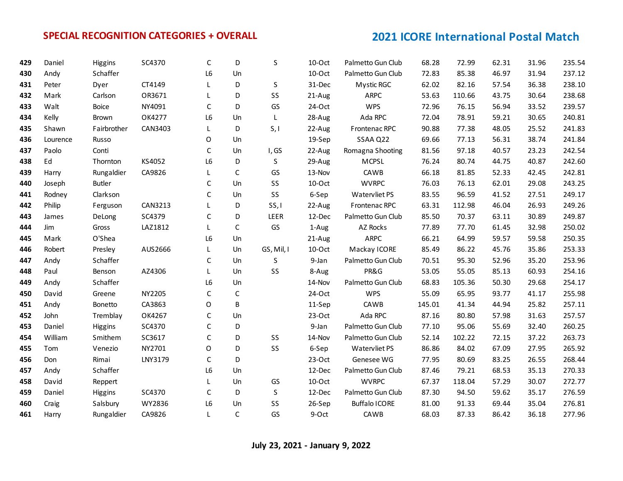| 429 | Daniel   | Higgins       | SC4370  | C              | D            | S          | $10-Oct$  | Palmetto Gun Club    | 68.28  | 72.99  | 62.31 | 31.96 | 235.54 |
|-----|----------|---------------|---------|----------------|--------------|------------|-----------|----------------------|--------|--------|-------|-------|--------|
| 430 | Andy     | Schaffer      |         | L <sub>6</sub> | Un           |            | 10-Oct    | Palmetto Gun Club    | 72.83  | 85.38  | 46.97 | 31.94 | 237.12 |
| 431 | Peter    | Dyer          | CT4149  |                | D            | S          | 31-Dec    | Mystic RGC           | 62.02  | 82.16  | 57.54 | 36.38 | 238.10 |
| 432 | Mark     | Carlson       | OR3671  | L              | D            | SS         | 21-Aug    | ARPC                 | 53.63  | 110.66 | 43.75 | 30.64 | 238.68 |
| 433 | Walt     | Boice         | NY4091  | $\mathsf C$    | D            | GS         | 24-Oct    | <b>WPS</b>           | 72.96  | 76.15  | 56.94 | 33.52 | 239.57 |
| 434 | Kelly    | Brown         | OK4277  | L6             | Un           | L          | 28-Aug    | Ada RPC              | 72.04  | 78.91  | 59.21 | 30.65 | 240.81 |
| 435 | Shawn    | Fairbrother   | CAN3403 | L              | D            | S, I       | 22-Aug    | Frontenac RPC        | 90.88  | 77.38  | 48.05 | 25.52 | 241.83 |
| 436 | Lourence | Russo         |         | 0              | Un           |            | 19-Sep    | SSAA Q22             | 69.66  | 77.13  | 56.31 | 38.74 | 241.84 |
| 437 | Paolo    | Conti         |         | $\mathsf C$    | Un           | I, GS      | 22-Aug    | Romagna Shooting     | 81.56  | 97.18  | 40.57 | 23.23 | 242.54 |
| 438 | Ed       | Thornton      | KS4052  | L6             | D            | S          | 29-Aug    | <b>MCPSL</b>         | 76.24  | 80.74  | 44.75 | 40.87 | 242.60 |
| 439 | Harry    | Rungaldier    | CA9826  | L.             | $\mathsf C$  | GS         | 13-Nov    | CAWB                 | 66.18  | 81.85  | 52.33 | 42.45 | 242.81 |
| 440 | Joseph   | <b>Butler</b> |         | C              | Un           | SS         | $10$ -Oct | <b>WVRPC</b>         | 76.03  | 76.13  | 62.01 | 29.08 | 243.25 |
| 441 | Rodney   | Clarkson      |         | C              | Un           | SS         | 6-Sep     | Watervliet PS        | 83.55  | 96.59  | 41.52 | 27.51 | 249.17 |
| 442 | Philip   | Ferguson      | CAN3213 |                | D            | SS, I      | 22-Aug    | Frontenac RPC        | 63.31  | 112.98 | 46.04 | 26.93 | 249.26 |
| 443 | James    | DeLong        | SC4379  | C              | D            | LEER       | 12-Dec    | Palmetto Gun Club    | 85.50  | 70.37  | 63.11 | 30.89 | 249.87 |
| 444 | Jim      | Gross         | LAZ1812 | L              | $\mathsf C$  | GS         | 1-Aug     | AZ Rocks             | 77.89  | 77.70  | 61.45 | 32.98 | 250.02 |
| 445 | Mark     | O'Shea        |         | L6             | Un           |            | 21-Aug    | <b>ARPC</b>          | 66.21  | 64.99  | 59.57 | 59.58 | 250.35 |
| 446 | Robert   | Presley       | AUS2666 | L.             | Un           | GS, Mil, I | $10$ -Oct | Mackay ICORE         | 85.49  | 86.22  | 45.76 | 35.86 | 253.33 |
| 447 | Andy     | Schaffer      |         | C              | Un           | S          | 9-Jan     | Palmetto Gun Club    | 70.51  | 95.30  | 52.96 | 35.20 | 253.96 |
| 448 | Paul     | Benson        | AZ4306  | L              | Un           | SS         | 8-Aug     | PR&G                 | 53.05  | 55.05  | 85.13 | 60.93 | 254.16 |
| 449 | Andy     | Schaffer      |         | L6             | Un           |            | 14-Nov    | Palmetto Gun Club    | 68.83  | 105.36 | 50.30 | 29.68 | 254.17 |
| 450 | David    | Greene        | NY2205  | C              | $\mathsf C$  |            | 24-Oct    | <b>WPS</b>           | 55.09  | 65.95  | 93.77 | 41.17 | 255.98 |
| 451 | Andy     | Bonetto       | CA3863  | $\mathsf O$    | B            |            | 11-Sep    | CAWB                 | 145.01 | 41.34  | 44.94 | 25.82 | 257.11 |
| 452 | John     | Tremblay      | OK4267  | C              | Un           |            | $23-Oct$  | Ada RPC              | 87.16  | 80.80  | 57.98 | 31.63 | 257.57 |
| 453 | Daniel   | Higgins       | SC4370  | $\mathsf{C}$   | D            |            | 9-Jan     | Palmetto Gun Club    | 77.10  | 95.06  | 55.69 | 32.40 | 260.25 |
| 454 | William  | Smithem       | SC3617  | $\mathsf{C}$   | D            | SS         | 14-Nov    | Palmetto Gun Club    | 52.14  | 102.22 | 72.15 | 37.22 | 263.73 |
| 455 | Tom      | Venezio       | NY2701  | O              | D            | SS         | 6-Sep     | Watervliet PS        | 86.86  | 84.02  | 67.09 | 27.95 | 265.92 |
| 456 | Don      | Rimai         | LNY3179 | C              | D            |            | $23-Oct$  | Genesee WG           | 77.95  | 80.69  | 83.25 | 26.55 | 268.44 |
| 457 | Andy     | Schaffer      |         | L <sub>6</sub> | Un           |            | 12-Dec    | Palmetto Gun Club    | 87.46  | 79.21  | 68.53 | 35.13 | 270.33 |
| 458 | David    | Reppert       |         | L              | Un           | GS         | $10$ -Oct | <b>WVRPC</b>         | 67.37  | 118.04 | 57.29 | 30.07 | 272.77 |
| 459 | Daniel   | Higgins       | SC4370  | C              | D            | S          | 12-Dec    | Palmetto Gun Club    | 87.30  | 94.50  | 59.62 | 35.17 | 276.59 |
| 460 | Craig    | Salsbury      | WY2836  | L6             | Un           | SS         | 26-Sep    | <b>Buffalo ICORE</b> | 81.00  | 91.33  | 69.44 | 35.04 | 276.81 |
| 461 | Harry    | Rungaldier    | CA9826  | L              | $\mathsf{C}$ | GS         | 9-Oct     | CAWB                 | 68.03  | 87.33  | 86.42 | 36.18 | 277.96 |